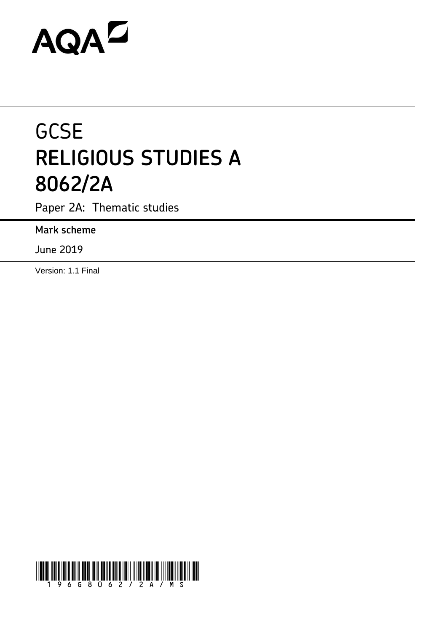# **AQAL**

## **GCSE RELIGIOUS STUDIES A 8062/2A**

Paper 2A: Thematic studies

**Mark scheme**

June 2019

Version: 1.1 Final

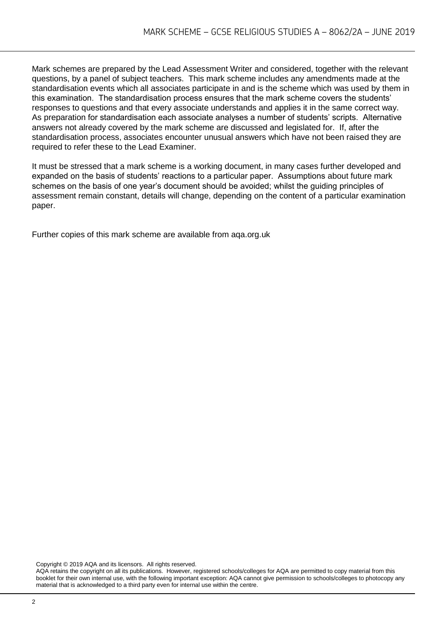Mark schemes are prepared by the Lead Assessment Writer and considered, together with the relevant questions, by a panel of subject teachers. This mark scheme includes any amendments made at the standardisation events which all associates participate in and is the scheme which was used by them in this examination. The standardisation process ensures that the mark scheme covers the students' responses to questions and that every associate understands and applies it in the same correct way. As preparation for standardisation each associate analyses a number of students' scripts. Alternative answers not already covered by the mark scheme are discussed and legislated for. If, after the standardisation process, associates encounter unusual answers which have not been raised they are required to refer these to the Lead Examiner.

It must be stressed that a mark scheme is a working document, in many cases further developed and expanded on the basis of students' reactions to a particular paper. Assumptions about future mark schemes on the basis of one year's document should be avoided; whilst the guiding principles of assessment remain constant, details will change, depending on the content of a particular examination paper.

Further copies of this mark scheme are available from aqa.org.uk

Copyright © 2019 AQA and its licensors. All rights reserved.

AQA retains the copyright on all its publications. However, registered schools/colleges for AQA are permitted to copy material from this booklet for their own internal use, with the following important exception: AQA cannot give permission to schools/colleges to photocopy any material that is acknowledged to a third party even for internal use within the centre.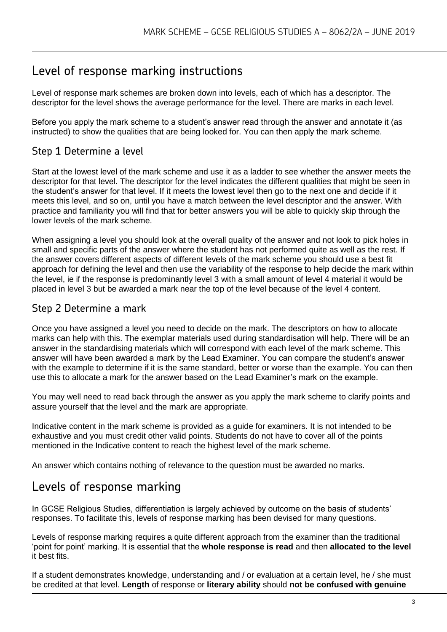## Level of response marking instructions

Level of response mark schemes are broken down into levels, each of which has a descriptor. The descriptor for the level shows the average performance for the level. There are marks in each level.

Before you apply the mark scheme to a student's answer read through the answer and annotate it (as instructed) to show the qualities that are being looked for. You can then apply the mark scheme.

#### Step 1 Determine a level

Start at the lowest level of the mark scheme and use it as a ladder to see whether the answer meets the descriptor for that level. The descriptor for the level indicates the different qualities that might be seen in the student's answer for that level. If it meets the lowest level then go to the next one and decide if it meets this level, and so on, until you have a match between the level descriptor and the answer. With practice and familiarity you will find that for better answers you will be able to quickly skip through the lower levels of the mark scheme.

When assigning a level you should look at the overall quality of the answer and not look to pick holes in small and specific parts of the answer where the student has not performed quite as well as the rest. If the answer covers different aspects of different levels of the mark scheme you should use a best fit approach for defining the level and then use the variability of the response to help decide the mark within the level, ie if the response is predominantly level 3 with a small amount of level 4 material it would be placed in level 3 but be awarded a mark near the top of the level because of the level 4 content.

#### Step 2 Determine a mark

Once you have assigned a level you need to decide on the mark. The descriptors on how to allocate marks can help with this. The exemplar materials used during standardisation will help. There will be an answer in the standardising materials which will correspond with each level of the mark scheme. This answer will have been awarded a mark by the Lead Examiner. You can compare the student's answer with the example to determine if it is the same standard, better or worse than the example. You can then use this to allocate a mark for the answer based on the Lead Examiner's mark on the example.

You may well need to read back through the answer as you apply the mark scheme to clarify points and assure yourself that the level and the mark are appropriate.

Indicative content in the mark scheme is provided as a guide for examiners. It is not intended to be exhaustive and you must credit other valid points. Students do not have to cover all of the points mentioned in the Indicative content to reach the highest level of the mark scheme.

An answer which contains nothing of relevance to the question must be awarded no marks.

#### Levels of response marking

In GCSE Religious Studies, differentiation is largely achieved by outcome on the basis of students' responses. To facilitate this, levels of response marking has been devised for many questions.

Levels of response marking requires a quite different approach from the examiner than the traditional 'point for point' marking. It is essential that the **whole response is read** and then **allocated to the level**  it best fits.

If a student demonstrates knowledge, understanding and / or evaluation at a certain level, he / she must be credited at that level. **Length** of response or **literary ability** should **not be confused with genuine**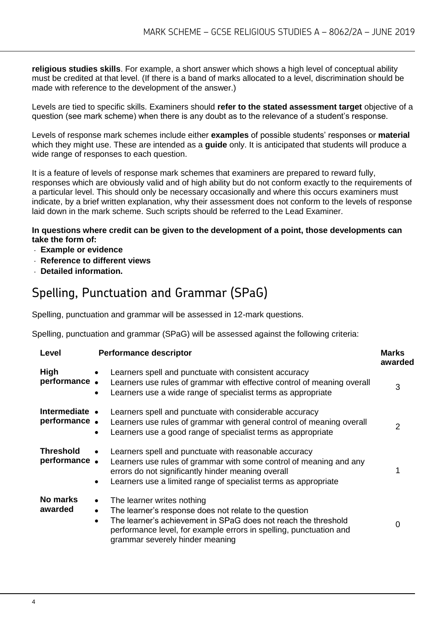**religious studies skills**. For example, a short answer which shows a high level of conceptual ability must be credited at that level. (If there is a band of marks allocated to a level, discrimination should be made with reference to the development of the answer.)

Levels are tied to specific skills. Examiners should **refer to the stated assessment target** objective of a question (see mark scheme) when there is any doubt as to the relevance of a student's response.

Levels of response mark schemes include either **examples** of possible students' responses or **material**  which they might use. These are intended as a **guide** only. It is anticipated that students will produce a wide range of responses to each question.

It is a feature of levels of response mark schemes that examiners are prepared to reward fully, responses which are obviously valid and of high ability but do not conform exactly to the requirements of a particular level. This should only be necessary occasionally and where this occurs examiners must indicate, by a brief written explanation, why their assessment does not conform to the levels of response laid down in the mark scheme. Such scripts should be referred to the Lead Examiner.

#### **In questions where credit can be given to the development of a point, those developments can take the form of:**

- **Example or evidence**
- **Reference to different views**
- **Detailed information.**

## Spelling, Punctuation and Grammar (SPaG)

Spelling, punctuation and grammar will be assessed in 12-mark questions.

Spelling, punctuation and grammar (SPaG) will be assessed against the following criteria:

| Level                            | <b>Performance descriptor</b>                                                                                                                                                                                                                                                             | <b>Marks</b><br>awarded |
|----------------------------------|-------------------------------------------------------------------------------------------------------------------------------------------------------------------------------------------------------------------------------------------------------------------------------------------|-------------------------|
| High<br>performance.             | Learners spell and punctuate with consistent accuracy<br>Learners use rules of grammar with effective control of meaning overall<br>Learners use a wide range of specialist terms as appropriate<br>$\bullet$                                                                             | 3                       |
| Intermediate •<br>performance.   | Learners spell and punctuate with considerable accuracy<br>Learners use rules of grammar with general control of meaning overall<br>Learners use a good range of specialist terms as appropriate                                                                                          | 2                       |
| <b>Threshold</b><br>performance. | Learners spell and punctuate with reasonable accuracy<br>Learners use rules of grammar with some control of meaning and any<br>errors do not significantly hinder meaning overall<br>Learners use a limited range of specialist terms as appropriate                                      |                         |
| No marks<br>awarded              | The learner writes nothing<br>$\bullet$<br>The learner's response does not relate to the question<br>The learner's achievement in SPaG does not reach the threshold<br>$\bullet$<br>performance level, for example errors in spelling, punctuation and<br>grammar severely hinder meaning |                         |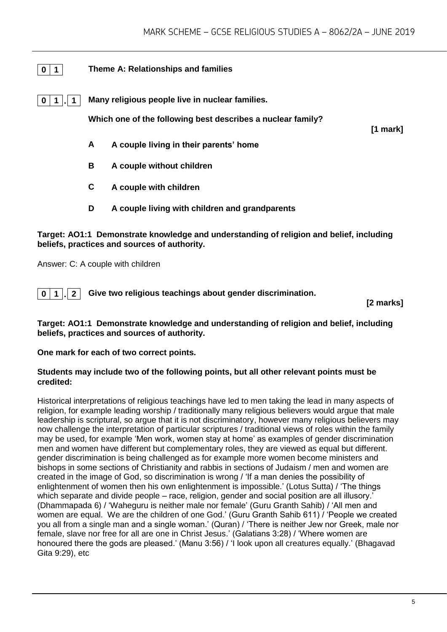#### **0 1 Theme A: Relationships and families**

**0 1 . 1 Many religious people live in nuclear families.**

**Which one of the following best describes a nuclear family?** 

**[1 mark]**

- **A A couple living in their parents' home**
- **B A couple without children**
- **C A couple with children**
- **D A couple living with children and grandparents**

#### **Target: AO1:1 Demonstrate knowledge and understanding of religion and belief, including beliefs, practices and sources of authority.**

Answer: C: A couple with children

**0 1 . 2 Give two religious teachings about gender discrimination.**

**[2 marks]**

#### **Target: AO1:1 Demonstrate knowledge and understanding of religion and belief, including beliefs, practices and sources of authority.**

**One mark for each of two correct points.** 

#### **Students may include two of the following points, but all other relevant points must be credited:**

Historical interpretations of religious teachings have led to men taking the lead in many aspects of religion, for example leading worship / traditionally many religious believers would argue that male leadership is scriptural, so argue that it is not discriminatory, however many religious believers may now challenge the interpretation of particular scriptures / traditional views of roles within the family may be used, for example 'Men work, women stay at home' as examples of gender discrimination men and women have different but complementary roles, they are viewed as equal but different. gender discrimination is being challenged as for example more women become ministers and bishops in some sections of Christianity and rabbis in sections of Judaism / men and women are created in the image of God, so discrimination is wrong / 'If a man denies the possibility of enlightenment of women then his own enlightenment is impossible.' (Lotus Sutta) / 'The things which separate and divide people – race, religion, gender and social position are all illusory.' (Dhammapada 6) / 'Waheguru is neither male nor female' (Guru Granth Sahib) / 'All men and women are equal. We are the children of one God.' (Guru Granth Sahib 611) / 'People we created you all from a single man and a single woman.' (Quran) / 'There is neither Jew nor Greek, male nor female, slave nor free for all are one in Christ Jesus.' (Galatians 3:28) / 'Where women are honoured there the gods are pleased.' (Manu 3:56) / 'I look upon all creatures equally.' (Bhagavad Gita 9:29), etc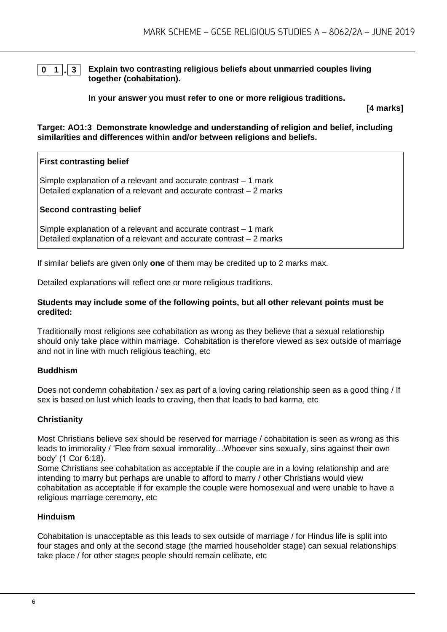## **0 1 . 3 Explain two contrasting religious beliefs about unmarried couples living**

**together (cohabitation).**

**In your answer you must refer to one or more religious traditions.** 

**[4 marks]**

**Target: AO1:3 Demonstrate knowledge and understanding of religion and belief, including similarities and differences within and/or between religions and beliefs.**

#### **First contrasting belief**

Simple explanation of a relevant and accurate contrast – 1 mark Detailed explanation of a relevant and accurate contrast – 2 marks

#### **Second contrasting belief**

Simple explanation of a relevant and accurate contrast – 1 mark Detailed explanation of a relevant and accurate contrast – 2 marks

If similar beliefs are given only **one** of them may be credited up to 2 marks max.

Detailed explanations will reflect one or more religious traditions.

#### **Students may include some of the following points, but all other relevant points must be credited:**

Traditionally most religions see cohabitation as wrong as they believe that a sexual relationship should only take place within marriage. Cohabitation is therefore viewed as sex outside of marriage and not in line with much religious teaching, etc

#### **Buddhism**

Does not condemn cohabitation / sex as part of a loving caring relationship seen as a good thing / If sex is based on lust which leads to craving, then that leads to bad karma, etc

#### **Christianity**

Most Christians believe sex should be reserved for marriage / cohabitation is seen as wrong as this leads to immorality / 'Flee from sexual immorality…Whoever sins sexually, sins against their own body' (1 Cor 6:18).

Some Christians see cohabitation as acceptable if the couple are in a loving relationship and are intending to marry but perhaps are unable to afford to marry / other Christians would view cohabitation as acceptable if for example the couple were homosexual and were unable to have a religious marriage ceremony, etc

#### **Hinduism**

Cohabitation is unacceptable as this leads to sex outside of marriage / for Hindus life is split into four stages and only at the second stage (the married householder stage) can sexual relationships take place / for other stages people should remain celibate, etc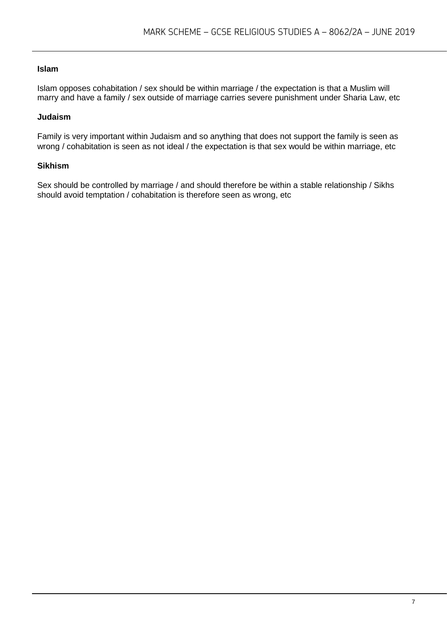#### **Islam**

Islam opposes cohabitation / sex should be within marriage / the expectation is that a Muslim will marry and have a family / sex outside of marriage carries severe punishment under Sharia Law, etc

#### **Judaism**

Family is very important within Judaism and so anything that does not support the family is seen as wrong / cohabitation is seen as not ideal / the expectation is that sex would be within marriage, etc

#### **Sikhism**

Sex should be controlled by marriage / and should therefore be within a stable relationship / Sikhs should avoid temptation / cohabitation is therefore seen as wrong, etc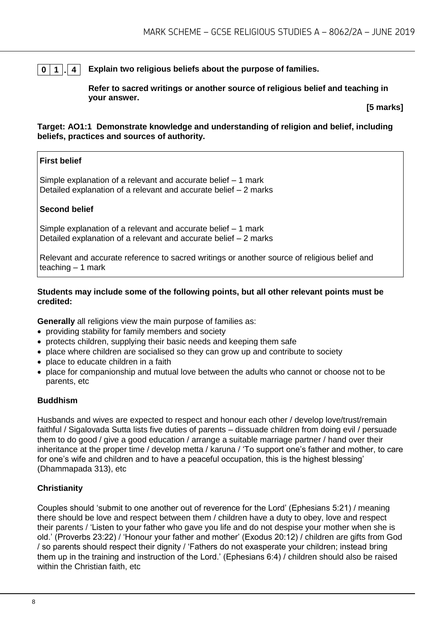#### **0 1 . 4 Explain two religious beliefs about the purpose of families.**

**Refer to sacred writings or another source of religious belief and teaching in your answer.**

**[5 marks]**

#### **Target: AO1:1 Demonstrate knowledge and understanding of religion and belief, including beliefs, practices and sources of authority.**

#### **First belief**

Simple explanation of a relevant and accurate belief – 1 mark Detailed explanation of a relevant and accurate belief – 2 marks

#### **Second belief**

Simple explanation of a relevant and accurate belief – 1 mark Detailed explanation of a relevant and accurate belief – 2 marks

Relevant and accurate reference to sacred writings or another source of religious belief and teaching  $-1$  mark

#### **Students may include some of the following points, but all other relevant points must be credited:**

**Generally** all religions view the main purpose of families as:

- providing stability for family members and society
- protects children, supplying their basic needs and keeping them safe
- place where children are socialised so they can grow up and contribute to society
- place to educate children in a faith
- place for companionship and mutual love between the adults who cannot or choose not to be parents, etc

#### **Buddhism**

Husbands and wives are expected to respect and honour each other / develop love/trust/remain faithful / Sigalovada Sutta lists five duties of parents – dissuade children from doing evil / persuade them to do good / give a good education / arrange a suitable marriage partner / hand over their inheritance at the proper time / develop metta / karuna / 'To support one's father and mother, to care for one's wife and children and to have a peaceful occupation, this is the highest blessing' (Dhammapada 313), etc

#### **Christianity**

Couples should 'submit to one another out of reverence for the Lord' (Ephesians 5:21) / meaning there should be love and respect between them / children have a duty to obey, love and respect their parents / 'Listen to your father who gave you life and do not despise your mother when she is old.' (Proverbs 23:22) / 'Honour your father and mother' (Exodus 20:12) / children are gifts from God / so parents should respect their dignity / 'Fathers do not exasperate your children; instead bring them up in the training and instruction of the Lord.' (Ephesians 6:4) / children should also be raised within the Christian faith, etc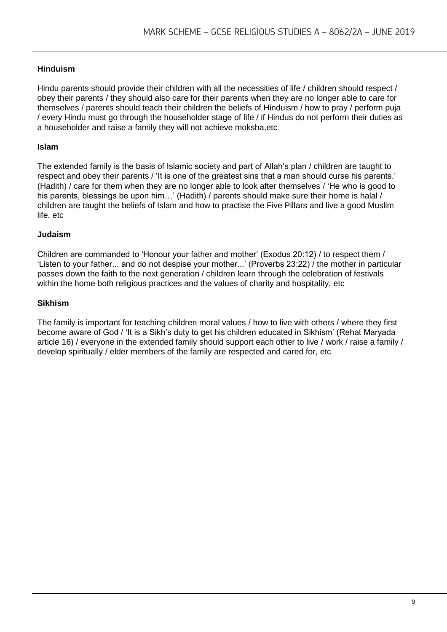#### **Hinduism**

Hindu parents should provide their children with all the necessities of life / children should respect / obey their parents / they should also care for their parents when they are no longer able to care for themselves / parents should teach their children the beliefs of Hinduism / how to pray / perform puja / every Hindu must go through the householder stage of life / if Hindus do not perform their duties as a householder and raise a family they will not achieve moksha,etc

#### **Islam**

The extended family is the basis of Islamic society and part of Allah's plan / children are taught to respect and obey their parents / 'It is one of the greatest sins that a man should curse his parents.' (Hadith) / care for them when they are no longer able to look after themselves / 'He who is good to his parents, blessings be upon him...' (Hadith) / parents should make sure their home is halal / children are taught the beliefs of Islam and how to practise the Five Pillars and live a good Muslim life, etc

#### **Judaism**

Children are commanded to 'Honour your father and mother' (Exodus 20:12) / to respect them / 'Listen to your father... and do not despise your mother...' (Proverbs 23:22) / the mother in particular passes down the faith to the next generation / children learn through the celebration of festivals within the home both religious practices and the values of charity and hospitality, etc

#### **Sikhism**

The family is important for teaching children moral values / how to live with others / where they first become aware of God / 'It is a Sikh's duty to get his children educated in Sikhism' (Rehat Maryada article 16) / everyone in the extended family should support each other to live / work / raise a family / develop spiritually / elder members of the family are respected and cared for, etc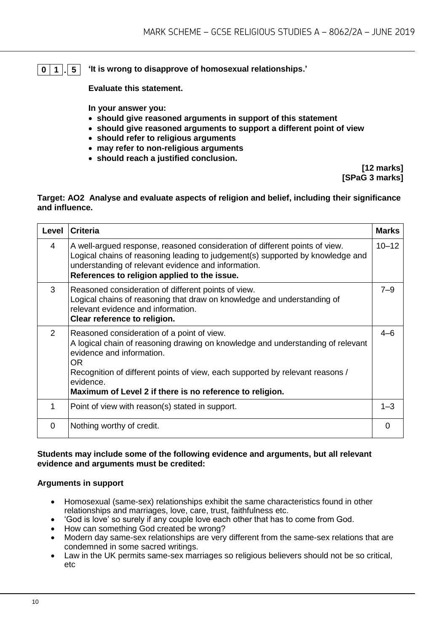#### **0 1 . 5 'It is wrong to disapprove of homosexual relationships.'**

**Evaluate this statement.** 

**In your answer you:** 

- **should give reasoned arguments in support of this statement**
- **should give reasoned arguments to support a different point of view**
- **should refer to religious arguments**
- **may refer to non-religious arguments**
- **should reach a justified conclusion.**

**[12 marks] [SPaG 3 marks]**

#### **Target: AO2 Analyse and evaluate aspects of religion and belief, including their significance and influence.**

| Level | <b>Criteria</b>                                                                                                                                                                                                                                                                                                             | <b>Marks</b> |
|-------|-----------------------------------------------------------------------------------------------------------------------------------------------------------------------------------------------------------------------------------------------------------------------------------------------------------------------------|--------------|
| 4     | A well-argued response, reasoned consideration of different points of view.<br>Logical chains of reasoning leading to judgement(s) supported by knowledge and<br>understanding of relevant evidence and information.<br>References to religion applied to the issue.                                                        | $10 - 12$    |
| 3     | Reasoned consideration of different points of view.<br>Logical chains of reasoning that draw on knowledge and understanding of<br>relevant evidence and information.<br>Clear reference to religion.                                                                                                                        | $7 - 9$      |
| 2     | Reasoned consideration of a point of view.<br>A logical chain of reasoning drawing on knowledge and understanding of relevant<br>evidence and information.<br>OR.<br>Recognition of different points of view, each supported by relevant reasons /<br>evidence.<br>Maximum of Level 2 if there is no reference to religion. | $4 - 6$      |
| 1     | Point of view with reason(s) stated in support.                                                                                                                                                                                                                                                                             | $1 - 3$      |
| 0     | Nothing worthy of credit.                                                                                                                                                                                                                                                                                                   | 0            |

#### **Students may include some of the following evidence and arguments, but all relevant evidence and arguments must be credited:**

#### **Arguments in support**

- Homosexual (same-sex) relationships exhibit the same characteristics found in other relationships and marriages, love, care, trust, faithfulness etc.
- 'God is love' so surely if any couple love each other that has to come from God.
- How can something God created be wrong?
- Modern day same-sex relationships are very different from the same-sex relations that are condemned in some sacred writings.
- Law in the UK permits same-sex marriages so religious believers should not be so critical. etc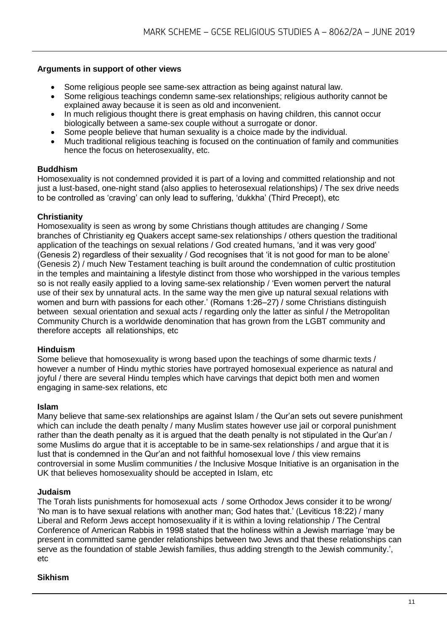#### **Arguments in support of other views**

- Some religious people see same-sex attraction as being against natural law.
- Some religious teachings condemn same-sex relationships; religious authority cannot be explained away because it is seen as old and inconvenient.
- In much religious thought there is great emphasis on having children, this cannot occur biologically between a same-sex couple without a surrogate or donor.
- Some people believe that human sexuality is a choice made by the individual.
- Much traditional religious teaching is focused on the continuation of family and communities hence the focus on heterosexuality, etc.

#### **Buddhism**

Homosexuality is not condemned provided it is part of a loving and committed relationship and not just a lust-based, one-night stand (also applies to heterosexual relationships) / The sex drive needs to be controlled as 'craving' can only lead to suffering, 'dukkha' (Third Precept), etc

#### **Christianity**

Homosexuality is seen as wrong by some Christians though attitudes are changing / Some branches of Christianity eg Quakers accept same-sex relationships / others question the traditional application of the teachings on sexual relations / God created humans, 'and it was very good' (Genesis 2) regardless of their sexuality / God recognises that 'it is not good for man to be alone' (Genesis 2) / much New Testament teaching is built around the condemnation of cultic prostitution in the temples and maintaining a lifestyle distinct from those who worshipped in the various temples so is not really easily applied to a loving same-sex relationship / 'Even women pervert the natural use of their sex by unnatural acts. In the same way the men give up natural sexual relations with women and burn with passions for each other.' (Romans 1:26–27) / some Christians distinguish between sexual orientation and sexual acts / regarding only the latter as sinful / the Metropolitan Community Church is a worldwide denomination that has grown from the LGBT community and therefore accepts all relationships, etc

#### **Hinduism**

Some believe that homosexuality is wrong based upon the teachings of some dharmic texts / however a number of Hindu mythic stories have portrayed homosexual experience as natural and joyful / there are several Hindu temples which have carvings that depict both men and women engaging in same-sex relations, etc

#### **Islam**

Many believe that same-sex relationships are against Islam / the Qur'an sets out severe punishment which can include the death penalty / many Muslim states however use jail or corporal punishment rather than the death penalty as it is argued that the death penalty is not stipulated in the Qur'an / some Muslims do argue that it is acceptable to be in same-sex relationships / and argue that it is lust that is condemned in the Qur'an and not faithful homosexual love / this view remains controversial in some Muslim communities / the Inclusive Mosque Initiative is an organisation in the UK that believes homosexuality should be accepted in Islam, etc

#### **Judaism**

The Torah lists punishments for homosexual acts / some Orthodox Jews consider it to be wrong/ 'No man is to have sexual relations with another man; God hates that.' (Leviticus 18:22) / many Liberal and Reform Jews accept homosexuality if it is within a loving relationship / The Central Conference of American Rabbis in 1998 stated that the holiness within a Jewish marriage 'may be present in committed same gender relationships between two Jews and that these relationships can serve as the foundation of stable Jewish families, thus adding strength to the Jewish community.', etc

#### **Sikhism**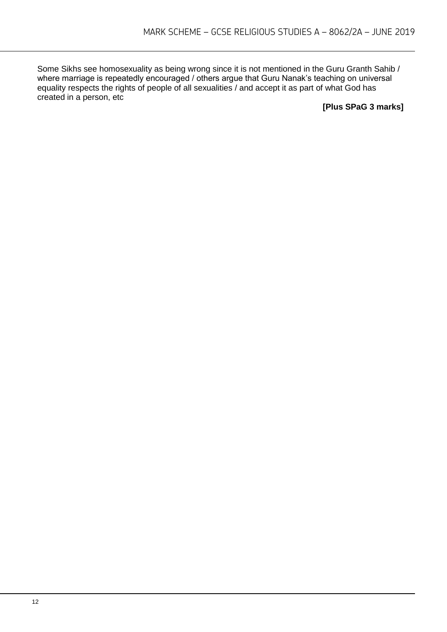Some Sikhs see homosexuality as being wrong since it is not mentioned in the Guru Granth Sahib / where marriage is repeatedly encouraged / others argue that Guru Nanak's teaching on universal equality respects the rights of people of all sexualities / and accept it as part of what God has created in a person, etc

**[Plus SPaG 3 marks]**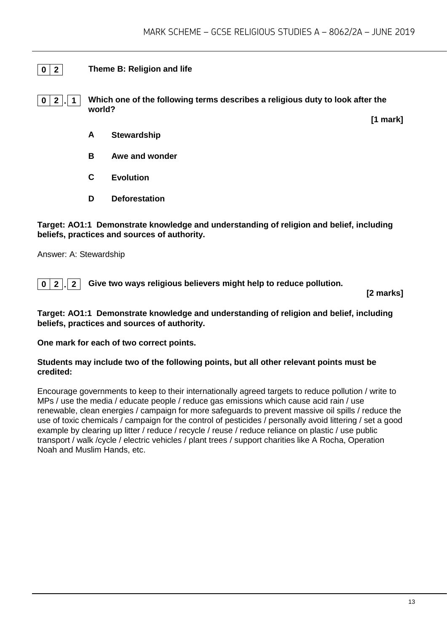#### **0 2 Theme B: Religion and life**

**0 2 . 1 Which one of the following terms describes a religious duty to look after the world?**

**[1 mark]**

- **A Stewardship**
- **B Awe and wonder**
- **C Evolution**
- **D Deforestation**

**Target: AO1:1 Demonstrate knowledge and understanding of religion and belief, including beliefs, practices and sources of authority.**

Answer: A: Stewardship

**0 2 . 2 Give two ways religious believers might help to reduce pollution.**

**[2 marks]**

**Target: AO1:1 Demonstrate knowledge and understanding of religion and belief, including beliefs, practices and sources of authority.**

**One mark for each of two correct points.** 

#### **Students may include two of the following points, but all other relevant points must be credited:**

Encourage governments to keep to their internationally agreed targets to reduce pollution / write to MPs / use the media / educate people / reduce gas emissions which cause acid rain / use renewable, clean energies / campaign for more safeguards to prevent massive oil spills / reduce the use of toxic chemicals / campaign for the control of pesticides / personally avoid littering / set a good example by clearing up litter / reduce / recycle / reuse / reduce reliance on plastic / use public transport / walk /cycle / electric vehicles / plant trees / support charities like A Rocha, Operation Noah and Muslim Hands, etc.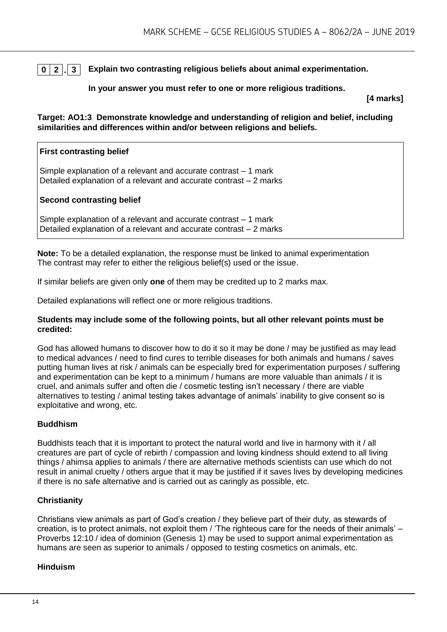**0 2 . 3 Explain two contrasting religious beliefs about animal experimentation.**

#### **In your answer you must refer to one or more religious traditions.**

**[4 marks]**

**Target: AO1:3 Demonstrate knowledge and understanding of religion and belief, including similarities and differences within and/or between religions and beliefs.**

#### **First contrasting belief**

Simple explanation of a relevant and accurate contrast – 1 mark Detailed explanation of a relevant and accurate contrast – 2 marks

#### **Second contrasting belief**

Simple explanation of a relevant and accurate contrast – 1 mark Detailed explanation of a relevant and accurate contrast – 2 marks

**Note:** To be a detailed explanation, the response must be linked to animal experimentation The contrast may refer to either the religious belief(s) used or the issue.

If similar beliefs are given only **one** of them may be credited up to 2 marks max.

Detailed explanations will reflect one or more religious traditions.

#### **Students may include some of the following points, but all other relevant points must be credited:**

God has allowed humans to discover how to do it so it may be done / may be justified as may lead to medical advances / need to find cures to terrible diseases for both animals and humans / saves putting human lives at risk / animals can be especially bred for experimentation purposes / suffering and experimentation can be kept to a minimum / humans are more valuable than animals / it is cruel, and animals suffer and often die / cosmetic testing isn't necessary / there are viable alternatives to testing / animal testing takes advantage of animals' inability to give consent so is exploitative and wrong, etc.

#### **Buddhism**

Buddhists teach that it is important to protect the natural world and live in harmony with it / all creatures are part of cycle of rebirth / compassion and loving kindness should extend to all living things / ahimsa applies to animals / there are alternative methods scientists can use which do not result in animal cruelty / others argue that it may be justified if it saves lives by developing medicines if there is no safe alternative and is carried out as caringly as possible, etc.

#### **Christianity**

Christians view animals as part of God's creation / they believe part of their duty, as stewards of creation, is to protect animals, not exploit them / 'The righteous care for the needs of their animals' – Proverbs 12:10 / idea of dominion (Genesis 1) may be used to support animal experimentation as humans are seen as superior to animals / opposed to testing cosmetics on animals, etc.

#### **Hinduism**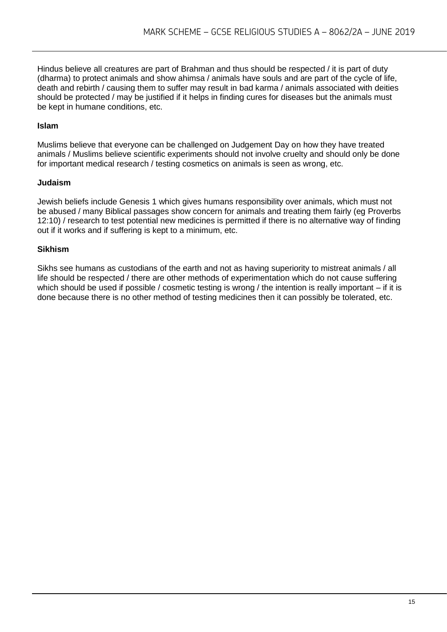Hindus believe all creatures are part of Brahman and thus should be respected / it is part of duty (dharma) to protect animals and show ahimsa / animals have souls and are part of the cycle of life, death and rebirth / causing them to suffer may result in bad karma / animals associated with deities should be protected / may be justified if it helps in finding cures for diseases but the animals must be kept in humane conditions, etc.

#### **Islam**

Muslims believe that everyone can be challenged on Judgement Day on how they have treated animals / Muslims believe scientific experiments should not involve cruelty and should only be done for important medical research / testing cosmetics on animals is seen as wrong, etc.

#### **Judaism**

Jewish beliefs include Genesis 1 which gives humans responsibility over animals, which must not be abused / many Biblical passages show concern for animals and treating them fairly (eg Proverbs 12:10) / research to test potential new medicines is permitted if there is no alternative way of finding out if it works and if suffering is kept to a minimum, etc.

#### **Sikhism**

Sikhs see humans as custodians of the earth and not as having superiority to mistreat animals / all life should be respected / there are other methods of experimentation which do not cause suffering which should be used if possible / cosmetic testing is wrong / the intention is really important – if it is done because there is no other method of testing medicines then it can possibly be tolerated, etc.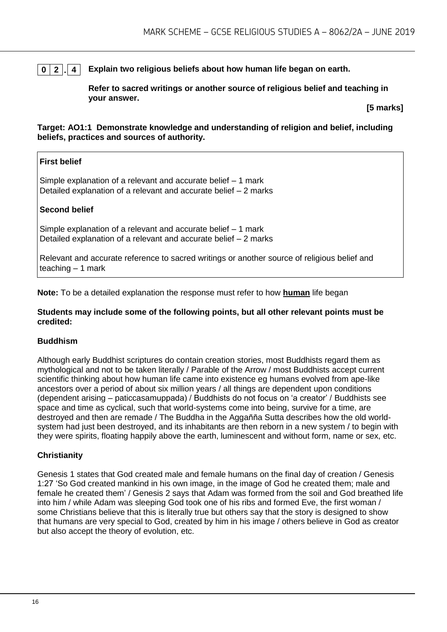#### **0 2 . 4 Explain two religious beliefs about how human life began on earth.**

**Refer to sacred writings or another source of religious belief and teaching in your answer.**

**[5 marks]**

**Target: AO1:1 Demonstrate knowledge and understanding of religion and belief, including beliefs, practices and sources of authority.**

#### **First belief**

Simple explanation of a relevant and accurate belief – 1 mark Detailed explanation of a relevant and accurate belief – 2 marks

#### **Second belief**

Simple explanation of a relevant and accurate belief – 1 mark Detailed explanation of a relevant and accurate belief – 2 marks

Relevant and accurate reference to sacred writings or another source of religious belief and teaching  $-1$  mark

**Note:** To be a detailed explanation the response must refer to how **human** life began

#### **Students may include some of the following points, but all other relevant points must be credited:**

#### **Buddhism**

Although early Buddhist scriptures do contain creation stories, most Buddhists regard them as mythological and not to be taken literally / Parable of the Arrow / most Buddhists accept current scientific thinking about how human life came into existence eg humans evolved from ape-like ancestors over a period of about six million years / all things are dependent upon conditions (dependent arising – paticcasamuppada) / Buddhists do not focus on 'a creator' / Buddhists see space and time as cyclical, such that world-systems come into being, survive for a time, are destroyed and then are remade / The Buddha in the Agganna Sutta describes how the old worldsystem had just been destroyed, and its inhabitants are then reborn in a new system / to begin with they were spirits, floating happily above the earth, luminescent and without form, name or sex, etc.

#### **Christianity**

Genesis 1 states that God created male and female humans on the final day of creation / Genesis 1:27 'So God created mankind in his own image, in the image of God he created them; male and female he created them' / Genesis 2 says that Adam was formed from the soil and God breathed life into him / while Adam was sleeping God took one of his ribs and formed Eve, the first woman / some Christians believe that this is literally true but others say that the story is designed to show that humans are very special to God, created by him in his image / others believe in God as creator but also accept the theory of evolution, etc.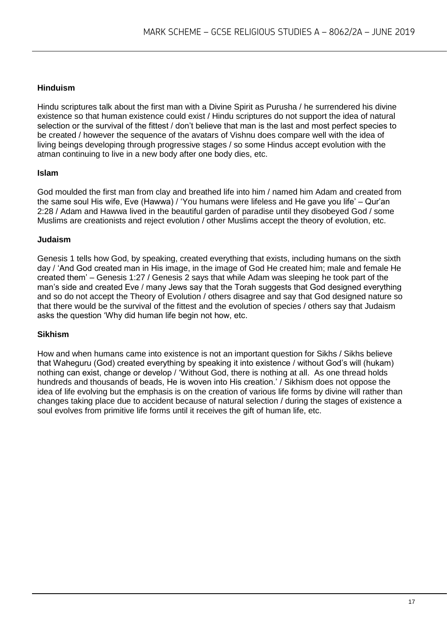#### **Hinduism**

Hindu scriptures talk about the first man with a Divine Spirit as Purusha / he surrendered his divine existence so that human existence could exist / Hindu scriptures do not support the idea of natural selection or the survival of the fittest / don't believe that man is the last and most perfect species to be created / however the sequence of the avatars of Vishnu does compare well with the idea of living beings developing through progressive stages / so some Hindus accept evolution with the atman continuing to live in a new body after one body dies, etc.

#### **Islam**

God moulded the first man from clay and breathed life into him / named him Adam and created from the same soul His wife, Eve (Hawwa) / 'You humans were lifeless and He gave you life' – Qur'an 2:28 / Adam and Hawwa lived in the beautiful garden of paradise until they disobeyed God / some Muslims are creationists and reject evolution / other Muslims accept the theory of evolution, etc.

#### **Judaism**

Genesis 1 tells how God, by speaking, created everything that exists, including humans on the sixth day / 'And God created man in His image, in the image of God He created him; male and female He created them' – Genesis 1:27 / Genesis 2 says that while Adam was sleeping he took part of the man's side and created Eve / many Jews say that the Torah suggests that God designed everything and so do not accept the Theory of Evolution / others disagree and say that God designed nature so that there would be the survival of the fittest and the evolution of species / others say that Judaism asks the question 'Why did human life begin not how, etc.

#### **Sikhism**

How and when humans came into existence is not an important question for Sikhs / Sikhs believe that Waheguru (God) created everything by speaking it into existence / without God's will (hukam) nothing can exist, change or develop / 'Without God, there is nothing at all. As one thread holds hundreds and thousands of beads, He is woven into His creation.' / Sikhism does not oppose the idea of life evolving but the emphasis is on the creation of various life forms by divine will rather than changes taking place due to accident because of natural selection / during the stages of existence a soul evolves from primitive life forms until it receives the gift of human life, etc.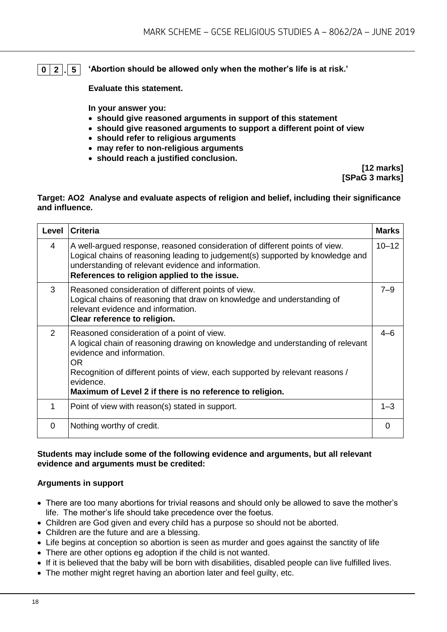#### **0 2 . 5 'Abortion should be allowed only when the mother's life is at risk.'**

**Evaluate this statement.** 

**In your answer you:** 

- **should give reasoned arguments in support of this statement**
- **should give reasoned arguments to support a different point of view**
- **should refer to religious arguments**
- **may refer to non-religious arguments**
- **should reach a justified conclusion.**

**[12 marks] [SPaG 3 marks]**

#### **Target: AO2 Analyse and evaluate aspects of religion and belief, including their significance and influence.**

| Level | <b>Criteria</b>                                                                                                                                                                                                                                                                                                             | <b>Marks</b> |
|-------|-----------------------------------------------------------------------------------------------------------------------------------------------------------------------------------------------------------------------------------------------------------------------------------------------------------------------------|--------------|
| 4     | A well-argued response, reasoned consideration of different points of view.<br>Logical chains of reasoning leading to judgement(s) supported by knowledge and<br>understanding of relevant evidence and information.<br>References to religion applied to the issue.                                                        | $10 - 12$    |
| 3     | Reasoned consideration of different points of view.<br>Logical chains of reasoning that draw on knowledge and understanding of<br>relevant evidence and information.<br>Clear reference to religion.                                                                                                                        | $7 - 9$      |
| 2     | Reasoned consideration of a point of view.<br>A logical chain of reasoning drawing on knowledge and understanding of relevant<br>evidence and information.<br>OR.<br>Recognition of different points of view, each supported by relevant reasons /<br>evidence.<br>Maximum of Level 2 if there is no reference to religion. | $4 - 6$      |
| 1     | Point of view with reason(s) stated in support.                                                                                                                                                                                                                                                                             | $1 - 3$      |
| 0     | Nothing worthy of credit.                                                                                                                                                                                                                                                                                                   | 0            |

#### **Students may include some of the following evidence and arguments, but all relevant evidence and arguments must be credited:**

#### **Arguments in support**

- There are too many abortions for trivial reasons and should only be allowed to save the mother's life. The mother's life should take precedence over the foetus.
- Children are God given and every child has a purpose so should not be aborted.
- Children are the future and are a blessing.
- Life begins at conception so abortion is seen as murder and goes against the sanctity of life
- There are other options eg adoption if the child is not wanted.
- If it is believed that the baby will be born with disabilities, disabled people can live fulfilled lives.
- The mother might regret having an abortion later and feel guilty, etc.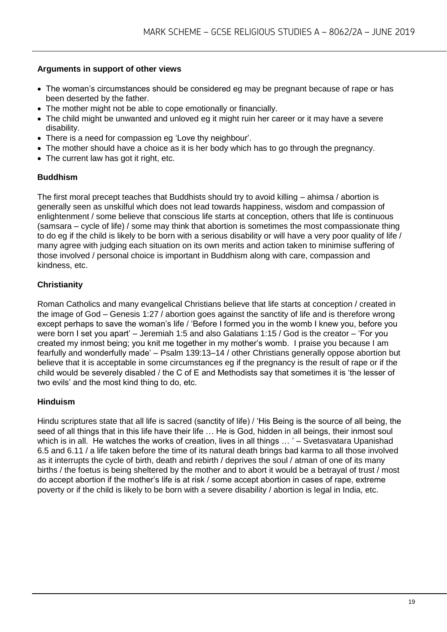#### **Arguments in support of other views**

- The woman's circumstances should be considered eg may be pregnant because of rape or has been deserted by the father.
- The mother might not be able to cope emotionally or financially.
- The child might be unwanted and unloved eg it might ruin her career or it may have a severe disability.
- There is a need for compassion eg 'Love thy neighbour'.
- The mother should have a choice as it is her body which has to go through the pregnancy.
- The current law has got it right, etc.

#### **Buddhism**

The first moral precept teaches that Buddhists should try to avoid killing – ahimsa / abortion is generally seen as unskilful which does not lead towards happiness, wisdom and compassion of enlightenment / some believe that conscious life starts at conception, others that life is continuous (samsara – cycle of life) / some may think that abortion is sometimes the most compassionate thing to do eg if the child is likely to be born with a serious disability or will have a very poor quality of life / many agree with judging each situation on its own merits and action taken to minimise suffering of those involved / personal choice is important in Buddhism along with care, compassion and kindness, etc.

#### **Christianity**

Roman Catholics and many evangelical Christians believe that life starts at conception / created in the image of God – Genesis 1:27 / abortion goes against the sanctity of life and is therefore wrong except perhaps to save the woman's life / 'Before I formed you in the womb I knew you, before you were born I set you apart' – Jeremiah 1:5 and also Galatians 1:15 / God is the creator – 'For you created my inmost being; you knit me together in my mother's womb. I praise you because I am fearfully and wonderfully made' – Psalm 139:13–14 / other Christians generally oppose abortion but believe that it is acceptable in some circumstances eg if the pregnancy is the result of rape or if the child would be severely disabled / the C of E and Methodists say that sometimes it is 'the lesser of two evils' and the most kind thing to do, etc.

#### **Hinduism**

Hindu scriptures state that all life is sacred (sanctity of life) / 'His Being is the source of all being, the seed of all things that in this life have their life … He is God, hidden in all beings, their inmost soul which is in all. He watches the works of creation, lives in all things ... ' – Svetasvatara Upanishad 6.5 and 6.11 / a life taken before the time of its natural death brings bad karma to all those involved as it interrupts the cycle of birth, death and rebirth / deprives the soul / atman of one of its many births / the foetus is being sheltered by the mother and to abort it would be a betrayal of trust / most do accept abortion if the mother's life is at risk / some accept abortion in cases of rape, extreme poverty or if the child is likely to be born with a severe disability / abortion is legal in India, etc.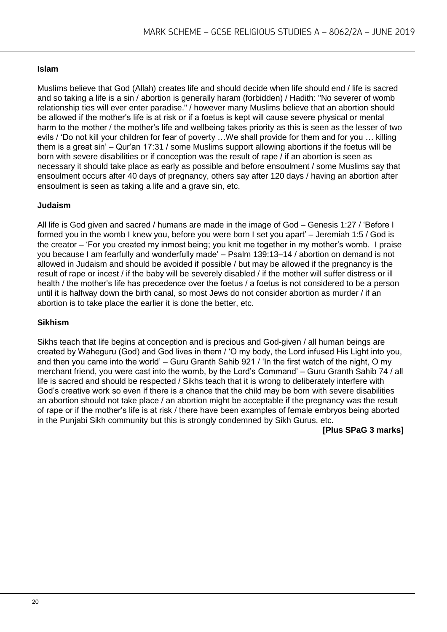#### **Islam**

Muslims believe that God (Allah) creates life and should decide when life should end / life is sacred and so taking a life is a sin / abortion is generally haram (forbidden) / Hadith: "No severer of womb relationship ties will ever enter paradise." / however many Muslims believe that an abortion should be allowed if the mother's life is at risk or if a foetus is kept will cause severe physical or mental harm to the mother / the mother's life and wellbeing takes priority as this is seen as the lesser of two evils / 'Do not kill your children for fear of poverty …We shall provide for them and for you … killing them is a great sin' – Qur'an 17:31 / some Muslims support allowing abortions if the foetus will be born with severe disabilities or if conception was the result of rape / if an abortion is seen as necessary it should take place as early as possible and before ensoulment / some Muslims say that ensoulment occurs after 40 days of pregnancy, others say after 120 days / having an abortion after ensoulment is seen as taking a life and a grave sin, etc.

#### **Judaism**

All life is God given and sacred / humans are made in the image of God – Genesis 1:27 / 'Before I formed you in the womb I knew you, before you were born I set you apart' – Jeremiah 1:5 / God is the creator – 'For you created my inmost being; you knit me together in my mother's womb. I praise you because I am fearfully and wonderfully made' – Psalm 139:13–14 / abortion on demand is not allowed in Judaism and should be avoided if possible / but may be allowed if the pregnancy is the result of rape or incest / if the baby will be severely disabled / if the mother will suffer distress or ill health / the mother's life has precedence over the foetus / a foetus is not considered to be a person until it is halfway down the birth canal, so most Jews do not consider abortion as murder / if an abortion is to take place the earlier it is done the better, etc.

#### **Sikhism**

Sikhs teach that life begins at conception and is precious and God-given / all human beings are created by Waheguru (God) and God lives in them / 'O my body, the Lord infused His Light into you, and then you came into the world' – Guru Granth Sahib 921 / 'In the first watch of the night, O my merchant friend, you were cast into the womb, by the Lord's Command' – Guru Granth Sahib 74 / all life is sacred and should be respected / Sikhs teach that it is wrong to deliberately interfere with God's creative work so even if there is a chance that the child may be born with severe disabilities an abortion should not take place / an abortion might be acceptable if the pregnancy was the result of rape or if the mother's life is at risk / there have been examples of female embryos being aborted in the Punjabi Sikh community but this is strongly condemned by Sikh Gurus, etc.

**[Plus SPaG 3 marks]**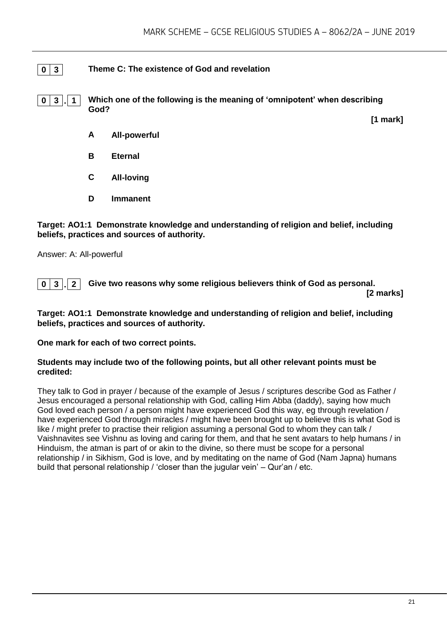#### **0 3 Theme C: The existence of God and revelation**

**0 3 . 1 Which one of the following is the meaning of 'omnipotent' when describing God?**

**[1 mark]**

- **A All-powerful**
- **B Eternal**
- **C All-loving**
- **D Immanent**

**Target: AO1:1 Demonstrate knowledge and understanding of religion and belief, including beliefs, practices and sources of authority.**

Answer: A: All-powerful

**0 3 . 2 Give two reasons why some religious believers think of God as personal.**

**[2 marks]**

**Target: AO1:1 Demonstrate knowledge and understanding of religion and belief, including beliefs, practices and sources of authority.**

**One mark for each of two correct points.** 

#### **Students may include two of the following points, but all other relevant points must be credited:**

They talk to God in prayer / because of the example of Jesus / scriptures describe God as Father / Jesus encouraged a personal relationship with God, calling Him Abba (daddy), saying how much God loved each person / a person might have experienced God this way, eg through revelation / have experienced God through miracles / might have been brought up to believe this is what God is like / might prefer to practise their religion assuming a personal God to whom they can talk / Vaishnavites see Vishnu as loving and caring for them, and that he sent avatars to help humans / in Hinduism, the atman is part of or akin to the divine, so there must be scope for a personal relationship / in Sikhism, God is love, and by meditating on the name of God (Nam Japna) humans build that personal relationship / 'closer than the jugular vein' – Qur'an / etc.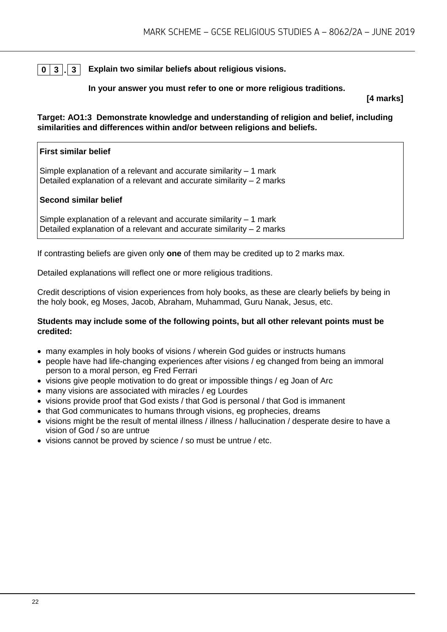**0 3 . 3 Explain two similar beliefs about religious visions.**

#### **In your answer you must refer to one or more religious traditions.**

**[4 marks]**

**Target: AO1:3 Demonstrate knowledge and understanding of religion and belief, including similarities and differences within and/or between religions and beliefs.**

## **First similar belief** Simple explanation of a relevant and accurate similarity – 1 mark Detailed explanation of a relevant and accurate similarity – 2 marks **Second similar belief**

Simple explanation of a relevant and accurate similarity – 1 mark Detailed explanation of a relevant and accurate similarity – 2 marks

If contrasting beliefs are given only **one** of them may be credited up to 2 marks max.

Detailed explanations will reflect one or more religious traditions.

Credit descriptions of vision experiences from holy books, as these are clearly beliefs by being in the holy book, eg Moses, Jacob, Abraham, Muhammad, Guru Nanak, Jesus, etc.

#### **Students may include some of the following points, but all other relevant points must be credited:**

- many examples in holy books of visions / wherein God guides or instructs humans
- people have had life-changing experiences after visions / eg changed from being an immoral person to a moral person, eg Fred Ferrari
- visions give people motivation to do great or impossible things / eg Joan of Arc
- many visions are associated with miracles / eg Lourdes
- visions provide proof that God exists / that God is personal / that God is immanent
- that God communicates to humans through visions, eg prophecies, dreams
- visions might be the result of mental illness / illness / hallucination / desperate desire to have a vision of God / so are untrue
- visions cannot be proved by science / so must be untrue / etc.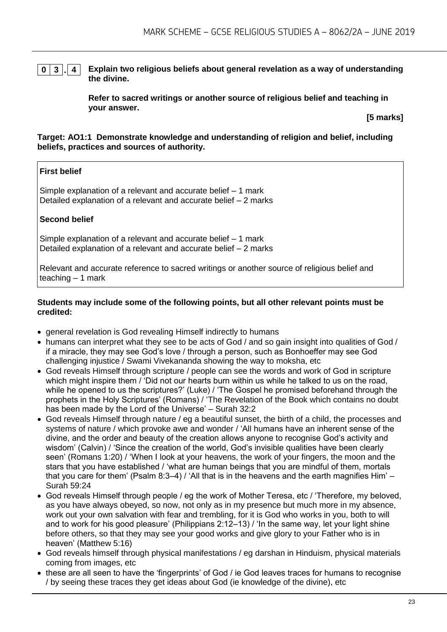#### **0 3 . 4 Explain two religious beliefs about general revelation as a way of understanding the divine.**

**Refer to sacred writings or another source of religious belief and teaching in your answer.**

**[5 marks]**

#### **Target: AO1:1 Demonstrate knowledge and understanding of religion and belief, including beliefs, practices and sources of authority.**

#### **First belief**

Simple explanation of a relevant and accurate belief – 1 mark Detailed explanation of a relevant and accurate belief – 2 marks

#### **Second belief**

Simple explanation of a relevant and accurate belief – 1 mark Detailed explanation of a relevant and accurate belief – 2 marks

Relevant and accurate reference to sacred writings or another source of religious belief and teaching – 1 mark

#### **Students may include some of the following points, but all other relevant points must be credited:**

- general revelation is God revealing Himself indirectly to humans
- humans can interpret what they see to be acts of God / and so gain insight into qualities of God / if a miracle, they may see God's love / through a person, such as Bonhoeffer may see God challenging injustice / Swami Vivekananda showing the way to moksha, etc
- God reveals Himself through scripture / people can see the words and work of God in scripture which might inspire them / 'Did not our hearts burn within us while he talked to us on the road, while he opened to us the scriptures?' (Luke) / 'The Gospel he promised beforehand through the prophets in the Holy Scriptures' (Romans) / 'The Revelation of the Book which contains no doubt has been made by the Lord of the Universe' – Surah 32:2
- God reveals Himself through nature / eg a beautiful sunset, the birth of a child, the processes and systems of nature / which provoke awe and wonder / 'All humans have an inherent sense of the divine, and the order and beauty of the creation allows anyone to recognise God's activity and wisdom' (Calvin) / 'Since the creation of the world, God's invisible qualities have been clearly seen' (Romans 1:20) / 'When I look at your heavens, the work of your fingers, the moon and the stars that you have established / 'what are human beings that you are mindful of them, mortals that you care for them' (Psalm  $8:3-4$ ) / 'All that is in the heavens and the earth magnifies Him'  $-$ Surah 59:24
- God reveals Himself through people / eg the work of Mother Teresa, etc / 'Therefore, my beloved, as you have always obeyed, so now, not only as in my presence but much more in my absence, work out your own salvation with fear and trembling, for it is God who works in you, both to will and to work for his good pleasure' (Philippians 2:12–13) / 'In the same way, let your light shine before others, so that they may see your good works and give glory to your Father who is in heaven' (Matthew 5:16)
- God reveals himself through physical manifestations / eg darshan in Hinduism, physical materials coming from images, etc
- these are all seen to have the 'fingerprints' of God / ie God leaves traces for humans to recognise / by seeing these traces they get ideas about God (ie knowledge of the divine), etc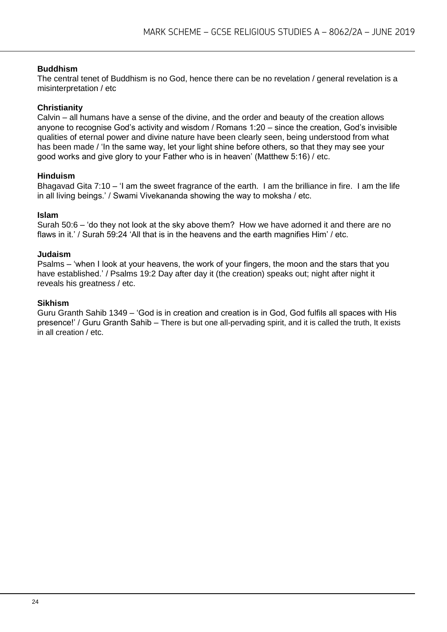#### **Buddhism**

The central tenet of Buddhism is no God, hence there can be no revelation / general revelation is a misinterpretation / etc

#### **Christianity**

Calvin – all humans have a sense of the divine, and the order and beauty of the creation allows anyone to recognise God's activity and wisdom / Romans 1:20 – since the creation, God's invisible qualities of eternal power and divine nature have been clearly seen, being understood from what has been made / 'In the same way, let your light shine before others, so that they may see your good works and give glory to your Father who is in heaven' (Matthew 5:16) / etc.

#### **Hinduism**

Bhagavad Gita 7:10 – 'I am the sweet fragrance of the earth. I am the brilliance in fire. I am the life in all living beings.' / Swami Vivekananda showing the way to moksha / etc.

#### **Islam**

Surah 50:6 – 'do they not look at the sky above them? How we have adorned it and there are no flaws in it.' / Surah 59:24 'All that is in the heavens and the earth magnifies Him' / etc.

#### **Judaism**

Psalms – 'when I look at your heavens, the work of your fingers, the moon and the stars that you have established.' / Psalms 19:2 Day after day it (the creation) speaks out; night after night it reveals his greatness / etc.

#### **Sikhism**

Guru Granth Sahib 1349 – 'God is in creation and creation is in God, God fulfils all spaces with His presence!' / Guru Granth Sahib – There is but one all-pervading spirit, and it is called the truth, It exists in all creation / etc.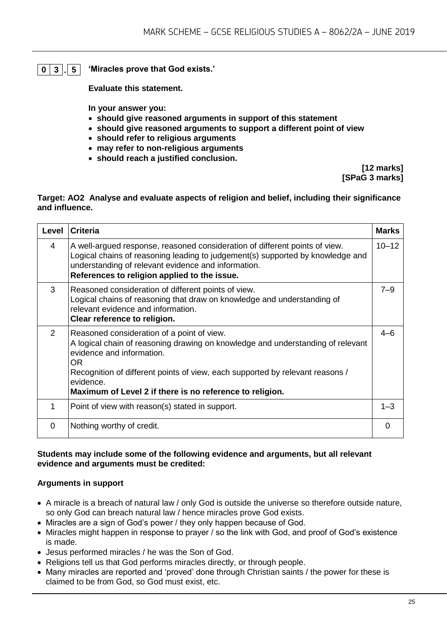#### **0 3 . 5 'Miracles prove that God exists.'**

**Evaluate this statement.** 

**In your answer you:** 

- **should give reasoned arguments in support of this statement**
- **should give reasoned arguments to support a different point of view**
- **should refer to religious arguments**
- **may refer to non-religious arguments**
- **should reach a justified conclusion.**

**[12 marks] [SPaG 3 marks]**

#### **Target: AO2 Analyse and evaluate aspects of religion and belief, including their significance and influence.**

| Level | <b>Criteria</b>                                                                                                                                                                                                                                                                                                             | <b>Marks</b> |
|-------|-----------------------------------------------------------------------------------------------------------------------------------------------------------------------------------------------------------------------------------------------------------------------------------------------------------------------------|--------------|
| 4     | A well-argued response, reasoned consideration of different points of view.<br>Logical chains of reasoning leading to judgement(s) supported by knowledge and<br>understanding of relevant evidence and information.<br>References to religion applied to the issue.                                                        | $10 - 12$    |
| 3     | Reasoned consideration of different points of view.<br>Logical chains of reasoning that draw on knowledge and understanding of<br>relevant evidence and information.<br>Clear reference to religion.                                                                                                                        | $7 - 9$      |
| 2     | Reasoned consideration of a point of view.<br>A logical chain of reasoning drawing on knowledge and understanding of relevant<br>evidence and information.<br>OR.<br>Recognition of different points of view, each supported by relevant reasons /<br>evidence.<br>Maximum of Level 2 if there is no reference to religion. | $4 - 6$      |
| 1     | Point of view with reason(s) stated in support.                                                                                                                                                                                                                                                                             | $1 - 3$      |
| 0     | Nothing worthy of credit.                                                                                                                                                                                                                                                                                                   | 0            |

#### **Students may include some of the following evidence and arguments, but all relevant evidence and arguments must be credited:**

#### **Arguments in support**

- A miracle is a breach of natural law / only God is outside the universe so therefore outside nature, so only God can breach natural law / hence miracles prove God exists.
- Miracles are a sign of God's power / they only happen because of God.
- Miracles might happen in response to prayer / so the link with God, and proof of God's existence is made.
- Jesus performed miracles / he was the Son of God.
- Religions tell us that God performs miracles directly, or through people.
- Many miracles are reported and 'proved' done through Christian saints / the power for these is claimed to be from God, so God must exist, etc.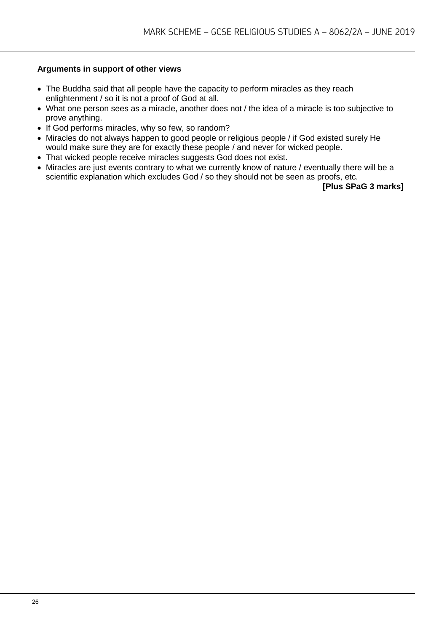#### **Arguments in support of other views**

- The Buddha said that all people have the capacity to perform miracles as they reach enlightenment / so it is not a proof of God at all.
- What one person sees as a miracle, another does not / the idea of a miracle is too subjective to prove anything.
- If God performs miracles, why so few, so random?
- Miracles do not always happen to good people or religious people / if God existed surely He would make sure they are for exactly these people / and never for wicked people.
- That wicked people receive miracles suggests God does not exist.
- Miracles are just events contrary to what we currently know of nature / eventually there will be a scientific explanation which excludes God / so they should not be seen as proofs, etc.

**[Plus SPaG 3 marks]**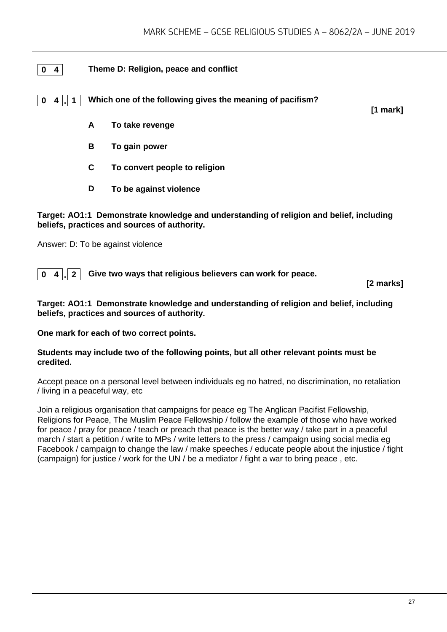#### **0 4 Theme D: Religion, peace and conflict**

**0 4 . 1 Which one of the following gives the meaning of pacifism?**

**[1 mark]**

- **A To take revenge**
- **B To gain power**
- **C To convert people to religion**
- **D To be against violence**

#### **Target: AO1:1 Demonstrate knowledge and understanding of religion and belief, including beliefs, practices and sources of authority.**

Answer: D: To be against violence

**0 4 . 2 Give two ways that religious believers can work for peace.**

**[2 marks]**

#### **Target: AO1:1 Demonstrate knowledge and understanding of religion and belief, including beliefs, practices and sources of authority.**

**One mark for each of two correct points.** 

#### **Students may include two of the following points, but all other relevant points must be credited.**

Accept peace on a personal level between individuals eg no hatred, no discrimination, no retaliation / living in a peaceful way, etc

Join a religious organisation that campaigns for peace eg The Anglican Pacifist Fellowship, Religions for Peace, The Muslim Peace Fellowship / follow the example of those who have worked for peace / pray for peace / teach or preach that peace is the better way / take part in a peaceful march / start a petition / write to MPs / write letters to the press / campaign using social media eg Facebook / campaign to change the law / make speeches / educate people about the injustice / fight (campaign) for justice / work for the UN / be a mediator / fight a war to bring peace , etc.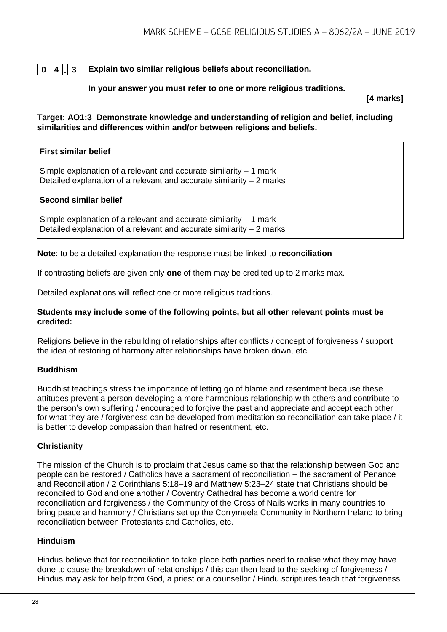### **0 4 . 3 Explain two similar religious beliefs about reconciliation.**

#### **In your answer you must refer to one or more religious traditions.**

**[4 marks]**

**Target: AO1:3 Demonstrate knowledge and understanding of religion and belief, including similarities and differences within and/or between religions and beliefs.**

## **First similar belief** Simple explanation of a relevant and accurate similarity  $-1$  mark Detailed explanation of a relevant and accurate similarity – 2 marks **Second similar belief**

Simple explanation of a relevant and accurate similarity – 1 mark Detailed explanation of a relevant and accurate similarity  $-2$  marks

**Note**: to be a detailed explanation the response must be linked to **reconciliation**

If contrasting beliefs are given only **one** of them may be credited up to 2 marks max.

Detailed explanations will reflect one or more religious traditions.

#### **Students may include some of the following points, but all other relevant points must be credited:**

Religions believe in the rebuilding of relationships after conflicts / concept of forgiveness / support the idea of restoring of harmony after relationships have broken down, etc.

#### **Buddhism**

Buddhist teachings stress the importance of letting go of blame and resentment because these attitudes prevent a person developing a more harmonious relationship with others and contribute to the person's own suffering / encouraged to forgive the past and appreciate and accept each other for what they are / forgiveness can be developed from meditation so reconciliation can take place / it is better to develop compassion than hatred or resentment, etc.

#### **Christianity**

The mission of the Church is to proclaim that Jesus came so that the relationship between God and people can be restored / Catholics have a sacrament of reconciliation – the sacrament of Penance and Reconciliation / 2 Corinthians 5:18–19 and Matthew 5:23–24 state that Christians should be reconciled to God and one another / Coventry Cathedral has become a world centre for reconciliation and forgiveness / the Community of the Cross of Nails works in many countries to bring peace and harmony / Christians set up the Corrymeela Community in Northern Ireland to bring reconciliation between Protestants and Catholics, etc.

#### **Hinduism**

Hindus believe that for reconciliation to take place both parties need to realise what they may have done to cause the breakdown of relationships / this can then lead to the seeking of forgiveness / Hindus may ask for help from God, a priest or a counsellor / Hindu scriptures teach that forgiveness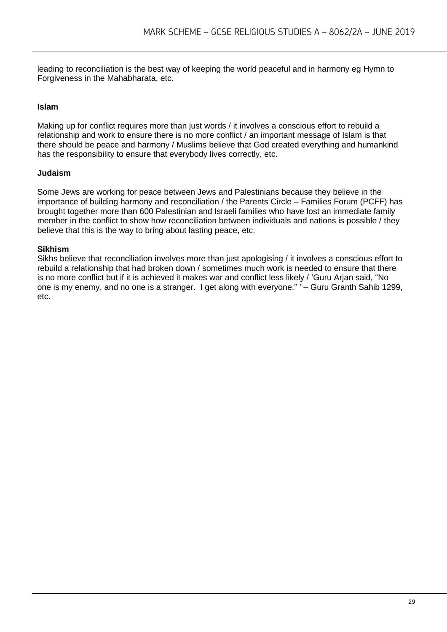leading to reconciliation is the best way of keeping the world peaceful and in harmony eg Hymn to Forgiveness in the Mahabharata, etc.

#### **Islam**

Making up for conflict requires more than just words / it involves a conscious effort to rebuild a relationship and work to ensure there is no more conflict / an important message of Islam is that there should be peace and harmony / Muslims believe that God created everything and humankind has the responsibility to ensure that everybody lives correctly, etc.

#### **Judaism**

Some Jews are working for peace between Jews and Palestinians because they believe in the importance of building harmony and reconciliation / the Parents Circle – Families Forum (PCFF) has brought together more than 600 Palestinian and Israeli families who have lost an immediate family member in the conflict to show how reconciliation between individuals and nations is possible / they believe that this is the way to bring about lasting peace, etc.

#### **Sikhism**

Sikhs believe that reconciliation involves more than just apologising / it involves a conscious effort to rebuild a relationship that had broken down / sometimes much work is needed to ensure that there is no more conflict but if it is achieved it makes war and conflict less likely / 'Guru Arjan said, "No one is my enemy, and no one is a stranger. I get along with everyone." ' – Guru Granth Sahib 1299, etc.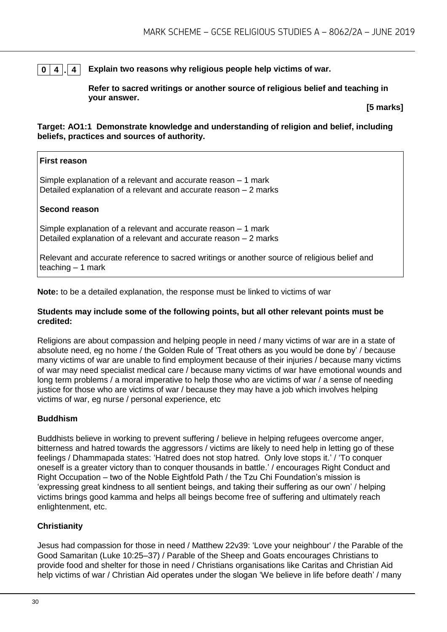#### **0 4 . 4 Explain two reasons why religious people help victims of war.**

**Refer to sacred writings or another source of religious belief and teaching in your answer.**

**[5 marks]**

#### **Target: AO1:1 Demonstrate knowledge and understanding of religion and belief, including beliefs, practices and sources of authority.**

#### **First reason**

Simple explanation of a relevant and accurate reason – 1 mark Detailed explanation of a relevant and accurate reason – 2 marks

#### **Second reason**

Simple explanation of a relevant and accurate reason – 1 mark Detailed explanation of a relevant and accurate reason – 2 marks

Relevant and accurate reference to sacred writings or another source of religious belief and teaching  $-1$  mark

**Note:** to be a detailed explanation, the response must be linked to victims of war

#### **Students may include some of the following points, but all other relevant points must be credited:**

Religions are about compassion and helping people in need / many victims of war are in a state of absolute need, eg no home / the Golden Rule of 'Treat others as you would be done by' / because many victims of war are unable to find employment because of their injuries / because many victims of war may need specialist medical care / because many victims of war have emotional wounds and long term problems / a moral imperative to help those who are victims of war / a sense of needing justice for those who are victims of war / because they may have a job which involves helping victims of war, eg nurse / personal experience, etc

#### **Buddhism**

Buddhists believe in working to prevent suffering / believe in helping refugees overcome anger, bitterness and hatred towards the aggressors / victims are likely to need help in letting go of these feelings / Dhammapada states: 'Hatred does not stop hatred. Only love stops it.' / 'To conquer oneself is a greater victory than to conquer thousands in battle.' / encourages Right Conduct and Right Occupation – two of the Noble Eightfold Path / the Tzu Chi Foundation's mission is 'expressing great kindness to all sentient beings, and taking their suffering as our own' / helping victims brings good kamma and helps all beings become free of suffering and ultimately reach enlightenment, etc.

#### **Christianity**

Jesus had compassion for those in need / Matthew 22v39: 'Love your neighbour' / the Parable of the Good Samaritan (Luke 10:25–37) / Parable of the Sheep and Goats encourages Christians to provide food and shelter for those in need / Christians organisations like Caritas and Christian Aid help victims of war / Christian Aid operates under the slogan 'We believe in life before death' / many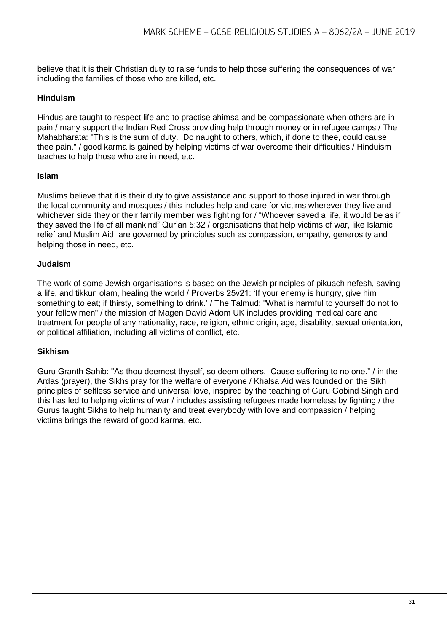believe that it is their Christian duty to raise funds to help those suffering the consequences of war, including the families of those who are killed, etc.

#### **Hinduism**

Hindus are taught to respect life and to practise ahimsa and be compassionate when others are in pain / many support the Indian Red Cross providing help through money or in refugee camps / The Mahabharata: "This is the sum of duty. Do naught to others, which, if done to thee, could cause thee pain." / good karma is gained by helping victims of war overcome their difficulties / Hinduism teaches to help those who are in need, etc.

#### **Islam**

Muslims believe that it is their duty to give assistance and support to those injured in war through the local community and mosques / this includes help and care for victims wherever they live and whichever side they or their family member was fighting for / "Whoever saved a life, it would be as if they saved the life of all mankind" Qur'an 5:32 / organisations that help victims of war, like Islamic relief and Muslim Aid, are governed by principles such as compassion, empathy, generosity and helping those in need, etc.

#### **Judaism**

The work of some Jewish organisations is based on the Jewish principles of pikuach nefesh, saving a life, and tikkun olam, healing the world / Proverbs 25v21: 'If your enemy is hungry, give him something to eat; if thirsty, something to drink.' / The Talmud: "What is harmful to yourself do not to your fellow men" / the mission of Magen David Adom UK includes providing medical care and treatment for people of any nationality, race, religion, ethnic origin, age, disability, sexual orientation, or political affiliation, including all victims of conflict, etc.

#### **Sikhism**

Guru Granth Sahib: "As thou deemest thyself, so deem others. Cause suffering to no one." / in the Ardas (prayer), the Sikhs pray for the welfare of everyone / Khalsa Aid was founded on the Sikh principles of selfless service and universal love, inspired by the teaching of Guru Gobind Singh and this has led to helping victims of war / includes assisting refugees made homeless by fighting / the Gurus taught Sikhs to help humanity and treat everybody with love and compassion / helping victims brings the reward of good karma, etc.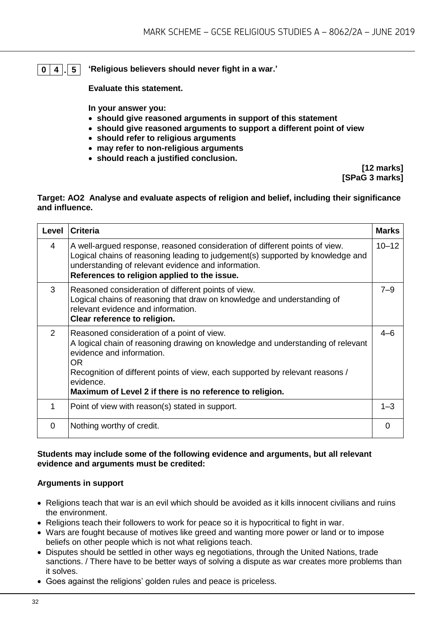**0 4 . 5 'Religious believers should never fight in a war.'**

**Evaluate this statement.** 

**In your answer you:** 

- **should give reasoned arguments in support of this statement**
- **should give reasoned arguments to support a different point of view**
- **should refer to religious arguments**
- **may refer to non-religious arguments**
- **should reach a justified conclusion.**

**[12 marks] [SPaG 3 marks]**

#### **Target: AO2 Analyse and evaluate aspects of religion and belief, including their significance and influence.**

| Level         | <b>Criteria</b>                                                                                                                                                                                                                                                                                                             | <b>Marks</b> |
|---------------|-----------------------------------------------------------------------------------------------------------------------------------------------------------------------------------------------------------------------------------------------------------------------------------------------------------------------------|--------------|
| 4             | A well-argued response, reasoned consideration of different points of view.<br>Logical chains of reasoning leading to judgement(s) supported by knowledge and<br>understanding of relevant evidence and information.<br>References to religion applied to the issue.                                                        | $10 - 12$    |
| 3             | Reasoned consideration of different points of view.<br>Logical chains of reasoning that draw on knowledge and understanding of<br>relevant evidence and information.<br>Clear reference to religion.                                                                                                                        | $7 - 9$      |
| $\mathcal{P}$ | Reasoned consideration of a point of view.<br>A logical chain of reasoning drawing on knowledge and understanding of relevant<br>evidence and information.<br>OR.<br>Recognition of different points of view, each supported by relevant reasons /<br>evidence.<br>Maximum of Level 2 if there is no reference to religion. | $4 - 6$      |
| 1             | Point of view with reason(s) stated in support.                                                                                                                                                                                                                                                                             | $1 - 3$      |
| 0             | Nothing worthy of credit.                                                                                                                                                                                                                                                                                                   | 0            |

#### **Students may include some of the following evidence and arguments, but all relevant evidence and arguments must be credited:**

#### **Arguments in support**

- Religions teach that war is an evil which should be avoided as it kills innocent civilians and ruins the environment.
- Religions teach their followers to work for peace so it is hypocritical to fight in war.
- Wars are fought because of motives like greed and wanting more power or land or to impose beliefs on other people which is not what religions teach.
- Disputes should be settled in other ways eg negotiations, through the United Nations, trade sanctions. / There have to be better ways of solving a dispute as war creates more problems than it solves.
- Goes against the religions' golden rules and peace is priceless.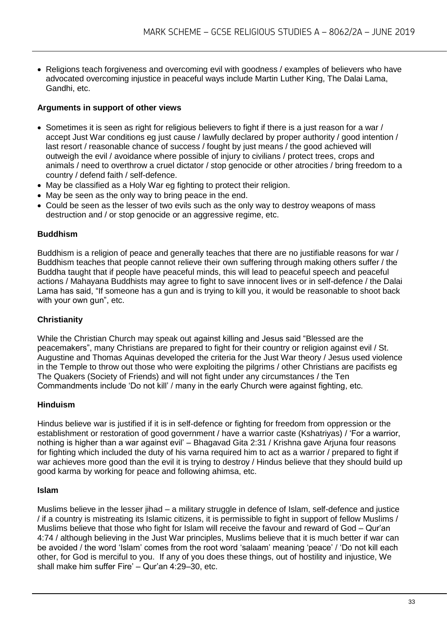• Religions teach forgiveness and overcoming evil with goodness / examples of believers who have advocated overcoming injustice in peaceful ways include Martin Luther King, The Dalai Lama, Gandhi, etc.

#### **Arguments in support of other views**

- Sometimes it is seen as right for religious believers to fight if there is a just reason for a war / accept Just War conditions eg just cause / lawfully declared by proper authority / good intention / last resort / reasonable chance of success / fought by just means / the good achieved will outweigh the evil / avoidance where possible of injury to civilians / protect trees, crops and animals / need to overthrow a cruel dictator / stop genocide or other atrocities / bring freedom to a country / defend faith / self-defence.
- May be classified as a Holy War eg fighting to protect their religion.
- May be seen as the only way to bring peace in the end.
- Could be seen as the lesser of two evils such as the only way to destroy weapons of mass destruction and / or stop genocide or an aggressive regime, etc.

#### **Buddhism**

Buddhism is a religion of peace and generally teaches that there are no justifiable reasons for war / Buddhism teaches that people cannot relieve their own suffering through making others suffer / the Buddha taught that if people have peaceful minds, this will lead to peaceful speech and peaceful actions / Mahayana Buddhists may agree to fight to save innocent lives or in self-defence / the Dalai Lama has said, "If someone has a gun and is trying to kill you, it would be reasonable to shoot back with your own gun", etc.

#### **Christianity**

While the Christian Church may speak out against killing and Jesus said "Blessed are the peacemakers", many Christians are prepared to fight for their country or religion against evil / St. Augustine and Thomas Aquinas developed the criteria for the Just War theory / Jesus used violence in the Temple to throw out those who were exploiting the pilgrims / other Christians are pacifists eg The Quakers (Society of Friends) and will not fight under any circumstances / the Ten Commandments include 'Do not kill' / many in the early Church were against fighting, etc.

#### **Hinduism**

Hindus believe war is justified if it is in self-defence or fighting for freedom from oppression or the establishment or restoration of good government / have a warrior caste (Kshatriyas) / 'For a warrior, nothing is higher than a war against evil' – Bhagavad Gita 2:31 / Krishna gave Arjuna four reasons for fighting which included the duty of his varna required him to act as a warrior / prepared to fight if war achieves more good than the evil it is trying to destroy / Hindus believe that they should build up good karma by working for peace and following ahimsa, etc.

#### **Islam**

Muslims believe in the lesser jihad – a military struggle in defence of Islam, self-defence and justice / if a country is mistreating its Islamic citizens, it is permissible to fight in support of fellow Muslims / Muslims believe that those who fight for Islam will receive the favour and reward of God – Qur'an 4:74 / although believing in the Just War principles, Muslims believe that it is much better if war can be avoided / the word 'Islam' comes from the root word 'salaam' meaning 'peace' / 'Do not kill each other, for God is merciful to you. If any of you does these things, out of hostility and injustice, We shall make him suffer Fire' – Qur'an 4:29–30, etc.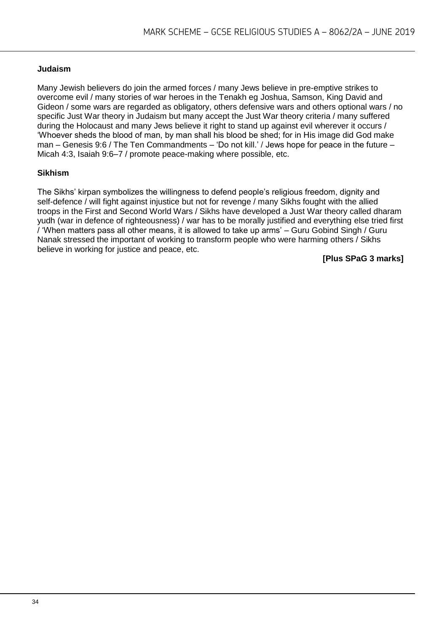#### **Judaism**

Many Jewish believers do join the armed forces / many Jews believe in pre-emptive strikes to overcome evil / many stories of war heroes in the Tenakh eg Joshua, Samson, King David and Gideon / some wars are regarded as obligatory, others defensive wars and others optional wars / no specific Just War theory in Judaism but many accept the Just War theory criteria / many suffered during the Holocaust and many Jews believe it right to stand up against evil wherever it occurs / 'Whoever sheds the blood of man, by man shall his blood be shed; for in His image did God make man – Genesis 9:6 / The Ten Commandments – 'Do not kill.' / Jews hope for peace in the future – Micah 4:3, Isaiah 9:6–7 / promote peace-making where possible, etc.

#### **Sikhism**

The Sikhs' kirpan symbolizes the willingness to defend people's religious freedom, dignity and self-defence / will fight against injustice but not for revenge / many Sikhs fought with the allied troops in the First and Second World Wars / Sikhs have developed a Just War theory called dharam yudh (war in defence of righteousness) / war has to be morally justified and everything else tried first / 'When matters pass all other means, it is allowed to take up arms' – Guru Gobind Singh / Guru Nanak stressed the important of working to transform people who were harming others / Sikhs believe in working for justice and peace, etc.

**[Plus SPaG 3 marks]**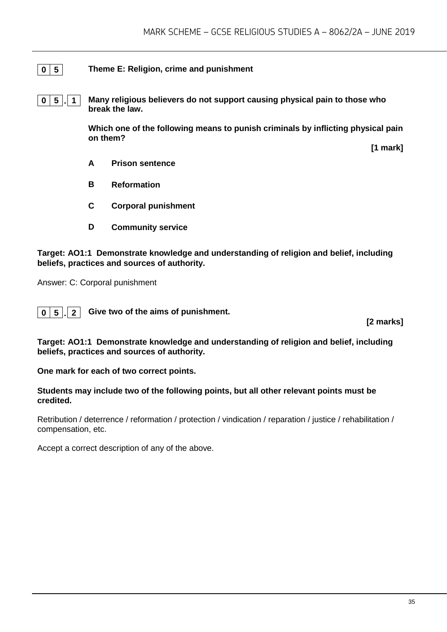#### **0 5 Theme E: Religion, crime and punishment**

**0 5 . 1 Many religious believers do not support causing physical pain to those who break the law.** 

> **Which one of the following means to punish criminals by inflicting physical pain on them?**

> > **[1 mark]**

- **A Prison sentence**
- **B Reformation**
- **C Corporal punishment**
- **D Community service**

**Target: AO1:1 Demonstrate knowledge and understanding of religion and belief, including beliefs, practices and sources of authority.**

Answer: C: Corporal punishment



**[2 marks]**

**Target: AO1:1 Demonstrate knowledge and understanding of religion and belief, including beliefs, practices and sources of authority.**

**One mark for each of two correct points.** 

#### **Students may include two of the following points, but all other relevant points must be credited.**

Retribution / deterrence / reformation / protection / vindication / reparation / justice / rehabilitation / compensation, etc.

Accept a correct description of any of the above.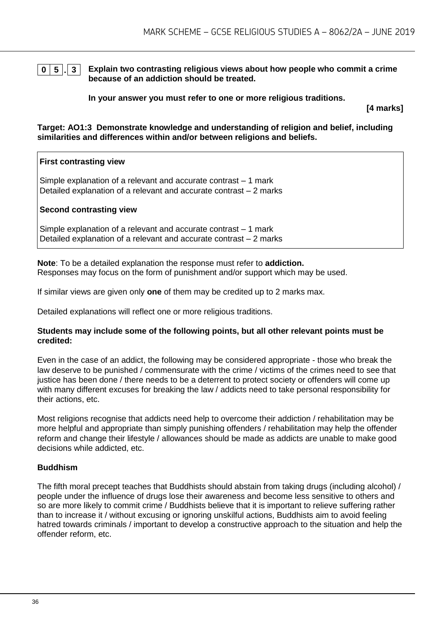**0 5 . 3 Explain two contrasting religious views about how people who commit a crime because of an addiction should be treated.**

**In your answer you must refer to one or more religious traditions.** 

**[4 marks]**

**Target: AO1:3 Demonstrate knowledge and understanding of religion and belief, including similarities and differences within and/or between religions and beliefs.**

#### **First contrasting view**

Simple explanation of a relevant and accurate contrast – 1 mark Detailed explanation of a relevant and accurate contrast – 2 marks

#### **Second contrasting view**

Simple explanation of a relevant and accurate contrast – 1 mark Detailed explanation of a relevant and accurate contrast – 2 marks

**Note**: To be a detailed explanation the response must refer to **addiction.** Responses may focus on the form of punishment and/or support which may be used.

If similar views are given only **one** of them may be credited up to 2 marks max.

Detailed explanations will reflect one or more religious traditions.

#### **Students may include some of the following points, but all other relevant points must be credited:**

Even in the case of an addict, the following may be considered appropriate - those who break the law deserve to be punished / commensurate with the crime / victims of the crimes need to see that justice has been done / there needs to be a deterrent to protect society or offenders will come up with many different excuses for breaking the law / addicts need to take personal responsibility for their actions, etc.

Most religions recognise that addicts need help to overcome their addiction / rehabilitation may be more helpful and appropriate than simply punishing offenders / rehabilitation may help the offender reform and change their lifestyle / allowances should be made as addicts are unable to make good decisions while addicted, etc.

#### **Buddhism**

The fifth moral precept teaches that Buddhists should abstain from taking drugs (including alcohol) / people under the influence of drugs lose their awareness and become less sensitive to others and so are more likely to commit crime / Buddhists believe that it is important to relieve suffering rather than to increase it / without excusing or ignoring unskilful actions, Buddhists aim to avoid feeling hatred towards criminals / important to develop a constructive approach to the situation and help the offender reform, etc.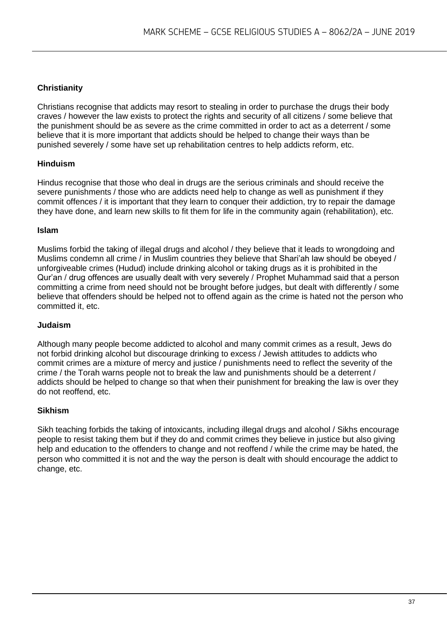#### **Christianity**

Christians recognise that addicts may resort to stealing in order to purchase the drugs their body craves / however the law exists to protect the rights and security of all citizens / some believe that the punishment should be as severe as the crime committed in order to act as a deterrent / some believe that it is more important that addicts should be helped to change their ways than be punished severely / some have set up rehabilitation centres to help addicts reform, etc.

#### **Hinduism**

Hindus recognise that those who deal in drugs are the serious criminals and should receive the severe punishments / those who are addicts need help to change as well as punishment if they commit offences / it is important that they learn to conquer their addiction, try to repair the damage they have done, and learn new skills to fit them for life in the community again (rehabilitation), etc.

#### **Islam**

Muslims forbid the taking of illegal drugs and alcohol / they believe that it leads to wrongdoing and Muslims condemn all crime / in Muslim countries they believe that Shari'ah law should be obeyed / unforgiveable crimes (Hudud) include drinking alcohol or taking drugs as it is prohibited in the Qur'an / drug offences are usually dealt with very severely / Prophet Muhammad said that a person committing a crime from need should not be brought before judges, but dealt with differently / some believe that offenders should be helped not to offend again as the crime is hated not the person who committed it, etc.

#### **Judaism**

Although many people become addicted to alcohol and many commit crimes as a result, Jews do not forbid drinking alcohol but discourage drinking to excess / Jewish attitudes to addicts who commit crimes are a mixture of mercy and justice / punishments need to reflect the severity of the crime / the Torah warns people not to break the law and punishments should be a deterrent / addicts should be helped to change so that when their punishment for breaking the law is over they do not reoffend, etc.

#### **Sikhism**

Sikh teaching forbids the taking of intoxicants, including illegal drugs and alcohol / Sikhs encourage people to resist taking them but if they do and commit crimes they believe in justice but also giving help and education to the offenders to change and not reoffend / while the crime may be hated, the person who committed it is not and the way the person is dealt with should encourage the addict to change, etc.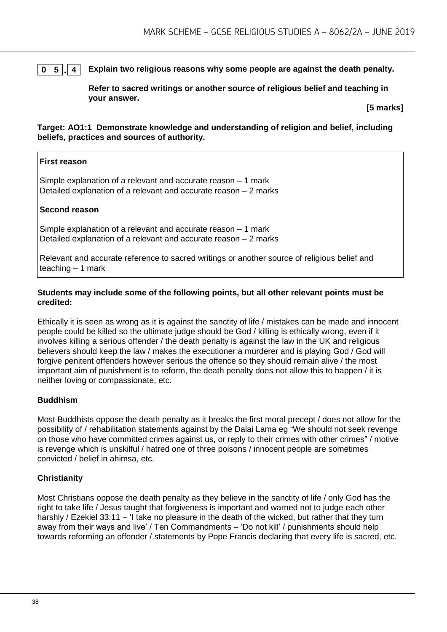#### **0 5 . 4 Explain two religious reasons why some people are against the death penalty.**

**Refer to sacred writings or another source of religious belief and teaching in your answer.**

**[5 marks]**

**Target: AO1:1 Demonstrate knowledge and understanding of religion and belief, including beliefs, practices and sources of authority.**

#### **First reason**

Simple explanation of a relevant and accurate reason – 1 mark Detailed explanation of a relevant and accurate reason – 2 marks

#### **Second reason**

Simple explanation of a relevant and accurate reason – 1 mark Detailed explanation of a relevant and accurate reason – 2 marks

Relevant and accurate reference to sacred writings or another source of religious belief and teaching  $-1$  mark

#### **Students may include some of the following points, but all other relevant points must be credited:**

Ethically it is seen as wrong as it is against the sanctity of life / mistakes can be made and innocent people could be killed so the ultimate judge should be God / killing is ethically wrong, even if it involves killing a serious offender / the death penalty is against the law in the UK and religious believers should keep the law / makes the executioner a murderer and is playing God / God will forgive penitent offenders however serious the offence so they should remain alive / the most important aim of punishment is to reform, the death penalty does not allow this to happen / it is neither loving or compassionate, etc.

#### **Buddhism**

Most Buddhists oppose the death penalty as it breaks the first moral precept / does not allow for the possibility of / rehabilitation statements against by the Dalai Lama eg "We should not seek revenge on those who have committed crimes against us, or reply to their crimes with other crimes" / motive is revenge which is unskilful / hatred one of three poisons / innocent people are sometimes convicted / belief in ahimsa, etc.

#### **Christianity**

Most Christians oppose the death penalty as they believe in the sanctity of life / only God has the right to take life / Jesus taught that forgiveness is important and warned not to judge each other harshly / Ezekiel 33:11 – 'I take no pleasure in the death of the wicked, but rather that they turn away from their ways and live' / Ten Commandments – 'Do not kill' / punishments should help towards reforming an offender / statements by Pope Francis declaring that every life is sacred, etc.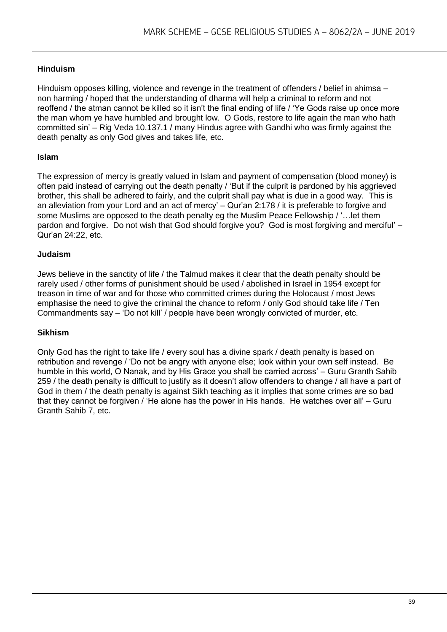#### **Hinduism**

Hinduism opposes killing, violence and revenge in the treatment of offenders / belief in ahimsa – non harming / hoped that the understanding of dharma will help a criminal to reform and not reoffend / the atman cannot be killed so it isn't the final ending of life / 'Ye Gods raise up once more the man whom ye have humbled and brought low. O Gods, restore to life again the man who hath committed sin' – Rig Veda 10.137.1 / many Hindus agree with Gandhi who was firmly against the death penalty as only God gives and takes life, etc.

#### **Islam**

The expression of mercy is greatly valued in Islam and payment of compensation (blood money) is often paid instead of carrying out the death penalty / 'But if the culprit is pardoned by his aggrieved brother, this shall be adhered to fairly, and the culprit shall pay what is due in a good way. This is an alleviation from your Lord and an act of mercy' – Qur'an 2:178 / it is preferable to forgive and some Muslims are opposed to the death penalty eg the Muslim Peace Fellowship / '…let them pardon and forgive. Do not wish that God should forgive you? God is most forgiving and merciful' – Qur'an 24:22, etc.

#### **Judaism**

Jews believe in the sanctity of life / the Talmud makes it clear that the death penalty should be rarely used / other forms of punishment should be used / abolished in Israel in 1954 except for treason in time of war and for those who committed crimes during the Holocaust / most Jews emphasise the need to give the criminal the chance to reform / only God should take life / Ten Commandments say – 'Do not kill' / people have been wrongly convicted of murder, etc.

#### **Sikhism**

Only God has the right to take life / every soul has a divine spark / death penalty is based on retribution and revenge / 'Do not be angry with anyone else; look within your own self instead. Be humble in this world, O Nanak, and by His Grace you shall be carried across' – Guru Granth Sahib 259 / the death penalty is difficult to justify as it doesn't allow offenders to change / all have a part of God in them / the death penalty is against Sikh teaching as it implies that some crimes are so bad that they cannot be forgiven / 'He alone has the power in His hands. He watches over all' – Guru Granth Sahib 7, etc.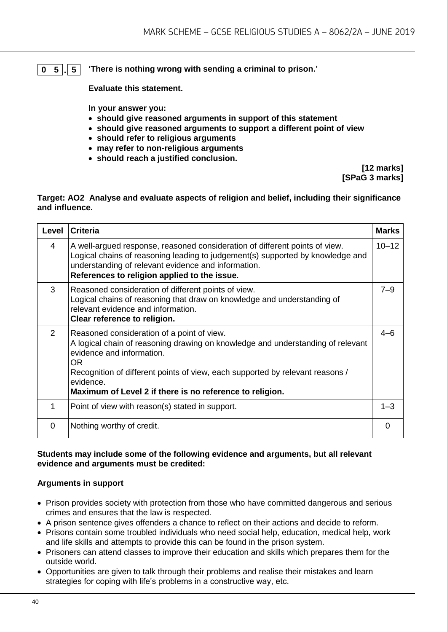#### **0 5 . 5 'There is nothing wrong with sending a criminal to prison.'**

**Evaluate this statement.** 

**In your answer you:** 

- **should give reasoned arguments in support of this statement**
- **should give reasoned arguments to support a different point of view**
- **should refer to religious arguments**
- **may refer to non-religious arguments**
- **should reach a justified conclusion.**

**[12 marks] [SPaG 3 marks]**

#### **Target: AO2 Analyse and evaluate aspects of religion and belief, including their significance and influence.**

| Level | <b>Criteria</b>                                                                                                                                                                                                                                                                                                             | <b>Marks</b> |
|-------|-----------------------------------------------------------------------------------------------------------------------------------------------------------------------------------------------------------------------------------------------------------------------------------------------------------------------------|--------------|
| 4     | A well-argued response, reasoned consideration of different points of view.<br>Logical chains of reasoning leading to judgement(s) supported by knowledge and<br>understanding of relevant evidence and information.<br>References to religion applied to the issue.                                                        | $10 - 12$    |
| 3     | Reasoned consideration of different points of view.<br>Logical chains of reasoning that draw on knowledge and understanding of<br>relevant evidence and information.<br>Clear reference to religion.                                                                                                                        | $7 - 9$      |
| 2     | Reasoned consideration of a point of view.<br>A logical chain of reasoning drawing on knowledge and understanding of relevant<br>evidence and information.<br>OR.<br>Recognition of different points of view, each supported by relevant reasons /<br>evidence.<br>Maximum of Level 2 if there is no reference to religion. | $4 - 6$      |
| 1     | Point of view with reason(s) stated in support.                                                                                                                                                                                                                                                                             | $1 - 3$      |
| 0     | Nothing worthy of credit.                                                                                                                                                                                                                                                                                                   | 0            |

#### **Students may include some of the following evidence and arguments, but all relevant evidence and arguments must be credited:**

#### **Arguments in support**

- Prison provides society with protection from those who have committed dangerous and serious crimes and ensures that the law is respected.
- A prison sentence gives offenders a chance to reflect on their actions and decide to reform.
- Prisons contain some troubled individuals who need social help, education, medical help, work and life skills and attempts to provide this can be found in the prison system.
- Prisoners can attend classes to improve their education and skills which prepares them for the outside world.
- Opportunities are given to talk through their problems and realise their mistakes and learn strategies for coping with life's problems in a constructive way, etc.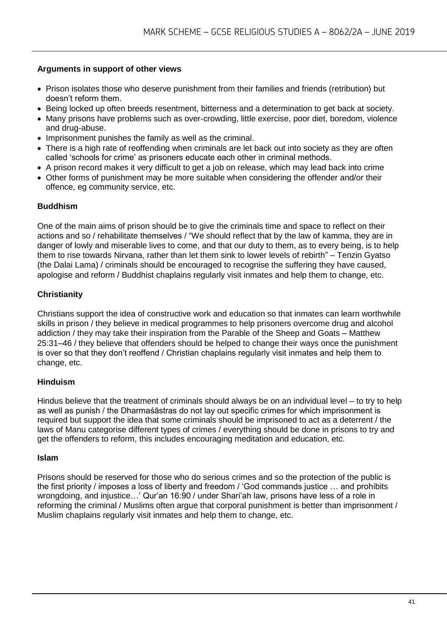#### **Arguments in support of other views**

- Prison isolates those who deserve punishment from their families and friends (retribution) but doesn't reform them.
- Being locked up often breeds resentment, bitterness and a determination to get back at society.
- Many prisons have problems such as over-crowding, little exercise, poor diet, boredom, violence and drug-abuse.
- Imprisonment punishes the family as well as the criminal.
- There is a high rate of reoffending when criminals are let back out into society as they are often called 'schools for crime' as prisoners educate each other in criminal methods.
- A prison record makes it very difficult to get a job on release, which may lead back into crime
- Other forms of punishment may be more suitable when considering the offender and/or their offence, eg community service, etc.

#### **Buddhism**

One of the main aims of prison should be to give the criminals time and space to reflect on their actions and so / rehabilitate themselves / "We should reflect that by the law of kamma, they are in danger of lowly and miserable lives to come, and that our duty to them, as to every being, is to help them to rise towards Nirvana, rather than let them sink to lower levels of rebirth" – Tenzin Gyatso (the Dalai Lama) / criminals should be encouraged to recognise the suffering they have caused, apologise and reform / Buddhist chaplains regularly visit inmates and help them to change, etc.

#### **Christianity**

Christians support the idea of constructive work and education so that inmates can learn worthwhile skills in prison / they believe in medical programmes to help prisoners overcome drug and alcohol addiction / they may take their inspiration from the Parable of the Sheep and Goats – Matthew 25:31–46 / they believe that offenders should be helped to change their ways once the punishment is over so that they don't reoffend / Christian chaplains regularly visit inmates and help them to change, etc.

#### **Hinduism**

Hindus believe that the treatment of criminals should always be on an individual level – to try to help as well as punish / the Dharmaśāstras do not lay out specific crimes for which imprisonment is required but support the idea that some criminals should be imprisoned to act as a deterrent / the laws of Manu categorise different types of crimes / everything should be done in prisons to try and get the offenders to reform, this includes encouraging meditation and education, etc.

#### **Islam**

Prisons should be reserved for those who do serious crimes and so the protection of the public is the first priority / imposes a loss of liberty and freedom / 'God commands justice … and prohibits wrongdoing, and injustice…' Qur'an 16:90 / under Shari'ah law, prisons have less of a role in reforming the criminal / Muslims often argue that corporal punishment is better than imprisonment / Muslim chaplains regularly visit inmates and help them to change, etc.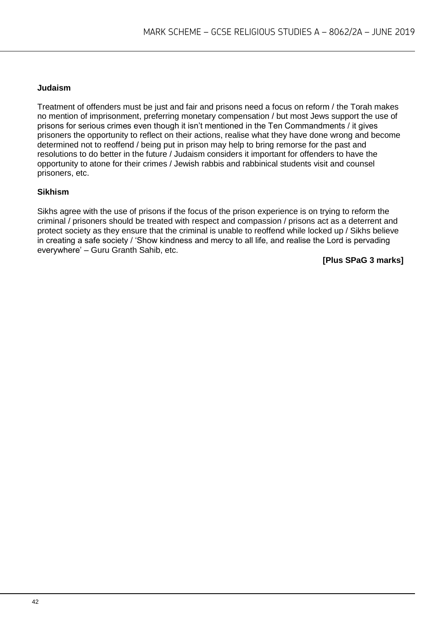#### **Judaism**

Treatment of offenders must be just and fair and prisons need a focus on reform / the Torah makes no mention of imprisonment, preferring monetary compensation / but most Jews support the use of prisons for serious crimes even though it isn't mentioned in the Ten Commandments / it gives prisoners the opportunity to reflect on their actions, realise what they have done wrong and become determined not to reoffend / being put in prison may help to bring remorse for the past and resolutions to do better in the future / Judaism considers it important for offenders to have the opportunity to atone for their crimes / Jewish rabbis and rabbinical students visit and counsel prisoners, etc.

#### **Sikhism**

Sikhs agree with the use of prisons if the focus of the prison experience is on trying to reform the criminal / prisoners should be treated with respect and compassion / prisons act as a deterrent and protect society as they ensure that the criminal is unable to reoffend while locked up / Sikhs believe in creating a safe society / 'Show kindness and mercy to all life, and realise the Lord is pervading everywhere' – Guru Granth Sahib, etc.

**[Plus SPaG 3 marks]**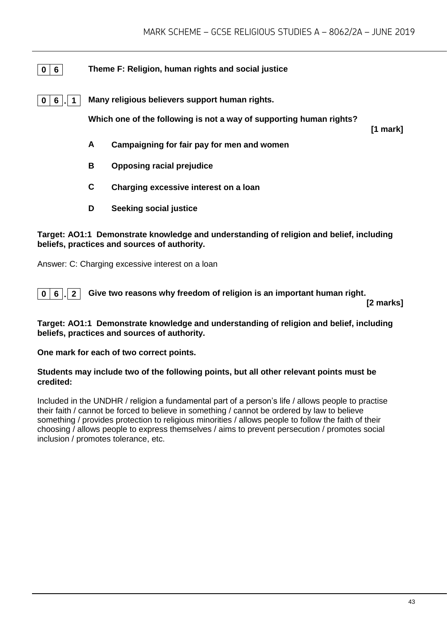#### **0 6 Theme F: Religion, human rights and social justice**

**0 6 . 1 Many religious believers support human rights.**

**Which one of the following is not a way of supporting human rights?**

**[1 mark]**

- **A Campaigning for fair pay for men and women**
- **B Opposing racial prejudice**
- **C Charging excessive interest on a loan**
- **D Seeking social justice**

#### **Target: AO1:1 Demonstrate knowledge and understanding of religion and belief, including beliefs, practices and sources of authority.**

Answer: C: Charging excessive interest on a loan

**0 6 . 2 Give two reasons why freedom of religion is an important human right.**

**[2 marks]**

**Target: AO1:1 Demonstrate knowledge and understanding of religion and belief, including beliefs, practices and sources of authority.**

**One mark for each of two correct points.** 

#### **Students may include two of the following points, but all other relevant points must be credited:**

Included in the UNDHR / religion a fundamental part of a person's life / allows people to practise their faith / cannot be forced to believe in something / cannot be ordered by law to believe something / provides protection to religious minorities / allows people to follow the faith of their choosing / allows people to express themselves / aims to prevent persecution / promotes social inclusion / promotes tolerance, etc.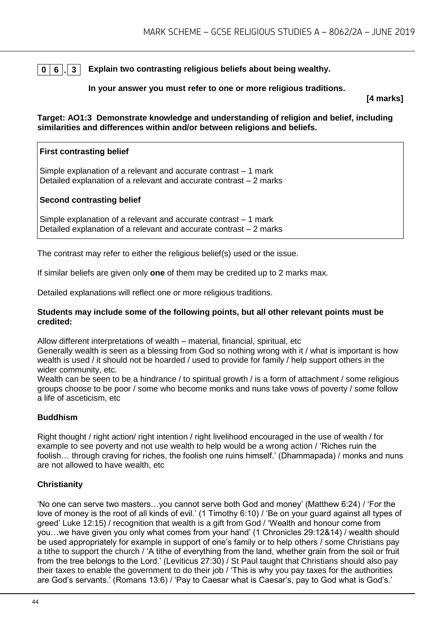#### **0 6 . 3 Explain two contrasting religious beliefs about being wealthy.**

#### **In your answer you must refer to one or more religious traditions.**

**[4 marks]**

**Target: AO1:3 Demonstrate knowledge and understanding of religion and belief, including similarities and differences within and/or between religions and beliefs.**

#### **First contrasting belief**

Simple explanation of a relevant and accurate contrast – 1 mark Detailed explanation of a relevant and accurate contrast – 2 marks

#### **Second contrasting belief**

Simple explanation of a relevant and accurate contrast – 1 mark Detailed explanation of a relevant and accurate contrast – 2 marks

The contrast may refer to either the religious belief(s) used or the issue.

If similar beliefs are given only **one** of them may be credited up to 2 marks max.

Detailed explanations will reflect one or more religious traditions.

#### **Students may include some of the following points, but all other relevant points must be credited:**

Allow different interpretations of wealth – material, financial, spiritual, etc

Generally wealth is seen as a blessing from God so nothing wrong with it / what is important is how wealth is used / it should not be hoarded / used to provide for family / help support others in the wider community, etc.

Wealth can be seen to be a hindrance / to spiritual growth / is a form of attachment / some religious groups choose to be poor / some who become monks and nuns take vows of poverty / some follow a life of asceticism, etc

#### **Buddhism**

Right thought / right action/ right intention / right livelihood encouraged in the use of wealth / for example to see poverty and not use wealth to help would be a wrong action / 'Riches ruin the foolish… through craving for riches, the foolish one ruins himself.' (Dhammapada) / monks and nuns are not allowed to have wealth, etc

#### **Christianity**

'No one can serve two masters…you cannot serve both God and money' (Matthew 6:24) / 'For the love of money is the root of all kinds of evil.' (1 Timothy 6:10) / 'Be on your guard against all types of greed' Luke 12:15) / recognition that wealth is a gift from God / 'Wealth and honour come from you…we have given you only what comes from your hand' (1 Chronicles 29:12&14) / wealth should be used appropriately for example in support of one's family or to help others / some Christians pay a tithe to support the church / 'A tithe of everything from the land, whether grain from the soil or fruit from the tree belongs to the Lord.' (Leviticus 27:30) / St Paul taught that Christians should also pay their taxes to enable the government to do their job / 'This is why you pay taxes for the authorities are God's servants.' (Romans 13:6) / 'Pay to Caesar what is Caesar's, pay to God what is God's.'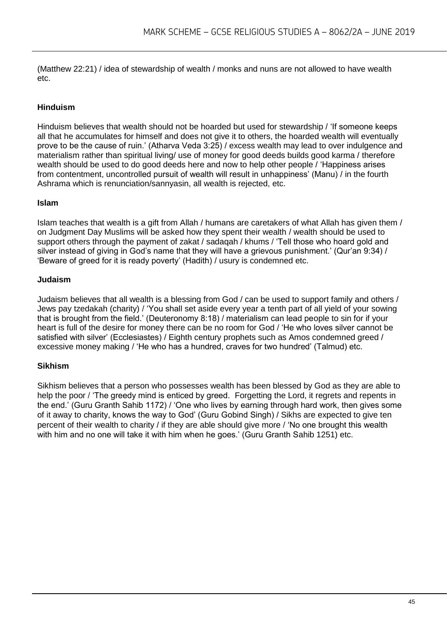(Matthew 22:21) / idea of stewardship of wealth / monks and nuns are not allowed to have wealth etc.

#### **Hinduism**

Hinduism believes that wealth should not be hoarded but used for stewardship / 'If someone keeps all that he accumulates for himself and does not give it to others, the hoarded wealth will eventually prove to be the cause of ruin.' (Atharva Veda 3:25) / excess wealth may lead to over indulgence and materialism rather than spiritual living/ use of money for good deeds builds good karma / therefore wealth should be used to do good deeds here and now to help other people / 'Happiness arises from contentment, uncontrolled pursuit of wealth will result in unhappiness' (Manu) / in the fourth Ashrama which is renunciation/sannyasin, all wealth is rejected, etc.

#### **Islam**

Islam teaches that wealth is a gift from Allah / humans are caretakers of what Allah has given them / on Judgment Day Muslims will be asked how they spent their wealth / wealth should be used to support others through the payment of zakat / sadaqah / khums / 'Tell those who hoard gold and silver instead of giving in God's name that they will have a grievous punishment.' (Qur'an 9:34) / 'Beware of greed for it is ready poverty' (Hadith) / usury is condemned etc.

#### **Judaism**

Judaism believes that all wealth is a blessing from God / can be used to support family and others / Jews pay tzedakah (charity) / 'You shall set aside every year a tenth part of all yield of your sowing that is brought from the field.' (Deuteronomy 8:18) / materialism can lead people to sin for if your heart is full of the desire for money there can be no room for God / 'He who loves silver cannot be satisfied with silver' (Ecclesiastes) / Eighth century prophets such as Amos condemned greed / excessive money making / 'He who has a hundred, craves for two hundred' (Talmud) etc.

#### **Sikhism**

Sikhism believes that a person who possesses wealth has been blessed by God as they are able to help the poor / 'The greedy mind is enticed by greed. Forgetting the Lord, it regrets and repents in the end.' (Guru Granth Sahib 1172) / 'One who lives by earning through hard work, then gives some of it away to charity, knows the way to God' (Guru Gobind Singh) / Sikhs are expected to give ten percent of their wealth to charity / if they are able should give more / 'No one brought this wealth with him and no one will take it with him when he goes.' (Guru Granth Sahib 1251) etc.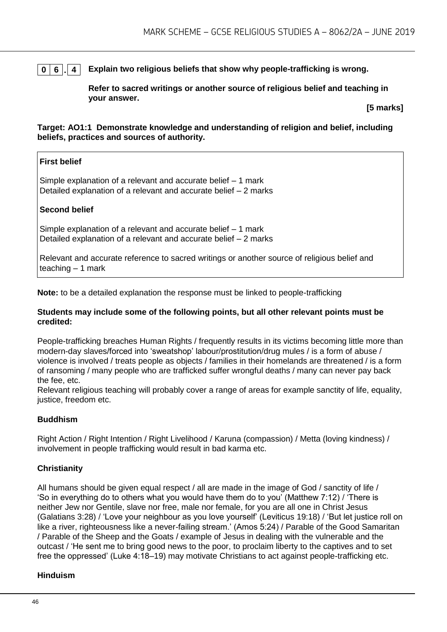#### **0 6 . 4 Explain two religious beliefs that show why people-trafficking is wrong.**

**Refer to sacred writings or another source of religious belief and teaching in your answer.**

**[5 marks]**

**Target: AO1:1 Demonstrate knowledge and understanding of religion and belief, including beliefs, practices and sources of authority.**

#### **First belief**

Simple explanation of a relevant and accurate belief – 1 mark Detailed explanation of a relevant and accurate belief – 2 marks

#### **Second belief**

Simple explanation of a relevant and accurate belief – 1 mark Detailed explanation of a relevant and accurate belief – 2 marks

Relevant and accurate reference to sacred writings or another source of religious belief and teaching  $-1$  mark

**Note:** to be a detailed explanation the response must be linked to people-trafficking

#### **Students may include some of the following points, but all other relevant points must be credited:**

People-trafficking breaches Human Rights / frequently results in its victims becoming little more than modern-day slaves/forced into 'sweatshop' labour/prostitution/drug mules / is a form of abuse / violence is involved / treats people as objects / families in their homelands are threatened / is a form of ransoming / many people who are trafficked suffer wrongful deaths / many can never pay back the fee, etc.

Relevant religious teaching will probably cover a range of areas for example sanctity of life, equality, justice, freedom etc.

#### **Buddhism**

Right Action / Right Intention / Right Livelihood / Karuna (compassion) / Metta (loving kindness) / involvement in people trafficking would result in bad karma etc.

#### **Christianity**

All humans should be given equal respect / all are made in the image of God / sanctity of life / 'So in everything do to others what you would have them do to you' (Matthew 7:12) / 'There is neither Jew nor Gentile, slave nor free, male nor female, for you are all one in Christ Jesus (Galatians 3:28) / 'Love your neighbour as you love yourself' (Leviticus 19:18) / 'But let justice roll on like a river, righteousness like a never-failing stream.' (Amos 5:24) / Parable of the Good Samaritan / Parable of the Sheep and the Goats / example of Jesus in dealing with the vulnerable and the outcast / 'He sent me to bring good news to the poor, to proclaim liberty to the captives and to set free the oppressed' (Luke 4:18–19) may motivate Christians to act against people-trafficking etc.

#### **Hinduism**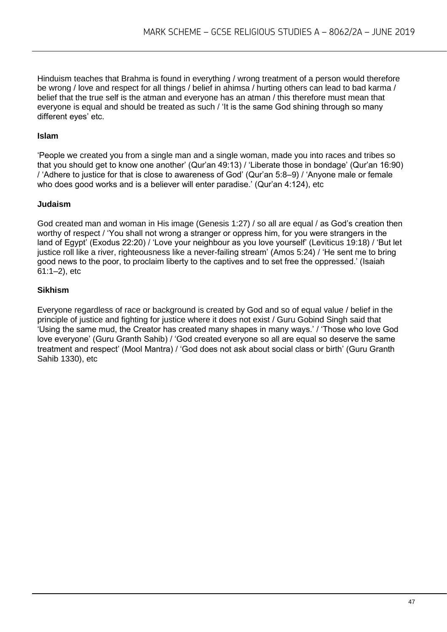Hinduism teaches that Brahma is found in everything / wrong treatment of a person would therefore be wrong / love and respect for all things / belief in ahimsa / hurting others can lead to bad karma / belief that the true self is the atman and everyone has an atman / this therefore must mean that everyone is equal and should be treated as such / 'It is the same God shining through so many different eyes' etc.

#### **Islam**

'People we created you from a single man and a single woman, made you into races and tribes so that you should get to know one another' (Qur'an 49:13) / 'Liberate those in bondage' (Qur'an 16:90) / 'Adhere to justice for that is close to awareness of God' (Qur'an 5:8–9) / 'Anyone male or female who does good works and is a believer will enter paradise.' (Qur'an 4:124), etc

#### **Judaism**

God created man and woman in His image (Genesis 1:27) / so all are equal / as God's creation then worthy of respect / 'You shall not wrong a stranger or oppress him, for you were strangers in the land of Egypt' (Exodus 22:20) / 'Love your neighbour as you love yourself' (Leviticus 19:18) / 'But let justice roll like a river, righteousness like a never-failing stream' (Amos 5:24) / 'He sent me to bring good news to the poor, to proclaim liberty to the captives and to set free the oppressed.' (Isaiah 61:1–2), etc

#### **Sikhism**

Everyone regardless of race or background is created by God and so of equal value / belief in the principle of justice and fighting for justice where it does not exist / Guru Gobind Singh said that 'Using the same mud, the Creator has created many shapes in many ways.' / 'Those who love God love everyone' (Guru Granth Sahib) / 'God created everyone so all are equal so deserve the same treatment and respect' (Mool Mantra) / 'God does not ask about social class or birth' (Guru Granth Sahib 1330), etc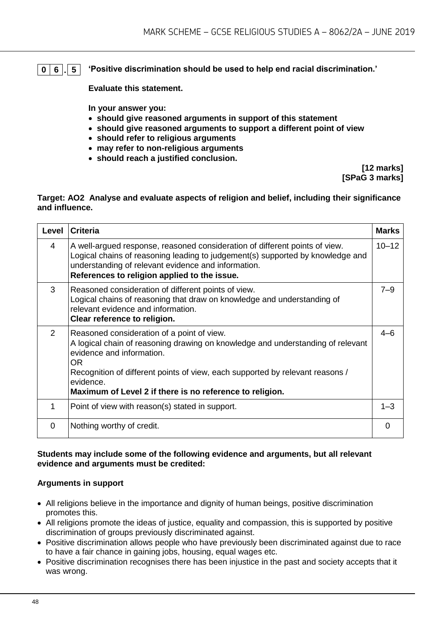#### **0 6 . 5 'Positive discrimination should be used to help end racial discrimination.'**

**Evaluate this statement.** 

**In your answer you:** 

- **should give reasoned arguments in support of this statement**
- **should give reasoned arguments to support a different point of view**
- **should refer to religious arguments**
- **may refer to non-religious arguments**
- **should reach a justified conclusion.**

**[12 marks] [SPaG 3 marks]**

#### **Target: AO2 Analyse and evaluate aspects of religion and belief, including their significance and influence.**

| Level | <b>Criteria</b>                                                                                                                                                                                                                                                                                                             | <b>Marks</b> |
|-------|-----------------------------------------------------------------------------------------------------------------------------------------------------------------------------------------------------------------------------------------------------------------------------------------------------------------------------|--------------|
| 4     | A well-argued response, reasoned consideration of different points of view.<br>Logical chains of reasoning leading to judgement(s) supported by knowledge and<br>understanding of relevant evidence and information.<br>References to religion applied to the issue.                                                        | $10 - 12$    |
| 3     | Reasoned consideration of different points of view.<br>Logical chains of reasoning that draw on knowledge and understanding of<br>relevant evidence and information.<br>Clear reference to religion.                                                                                                                        | $7 - 9$      |
| 2     | Reasoned consideration of a point of view.<br>A logical chain of reasoning drawing on knowledge and understanding of relevant<br>evidence and information.<br>OR.<br>Recognition of different points of view, each supported by relevant reasons /<br>evidence.<br>Maximum of Level 2 if there is no reference to religion. | $4 - 6$      |
| 1     | Point of view with reason(s) stated in support.                                                                                                                                                                                                                                                                             | $1 - 3$      |
| 0     | Nothing worthy of credit.                                                                                                                                                                                                                                                                                                   | 0            |

#### **Students may include some of the following evidence and arguments, but all relevant evidence and arguments must be credited:**

#### **Arguments in support**

- All religions believe in the importance and dignity of human beings, positive discrimination promotes this.
- All religions promote the ideas of justice, equality and compassion, this is supported by positive discrimination of groups previously discriminated against.
- Positive discrimination allows people who have previously been discriminated against due to race to have a fair chance in gaining jobs, housing, equal wages etc.
- Positive discrimination recognises there has been injustice in the past and society accepts that it was wrong.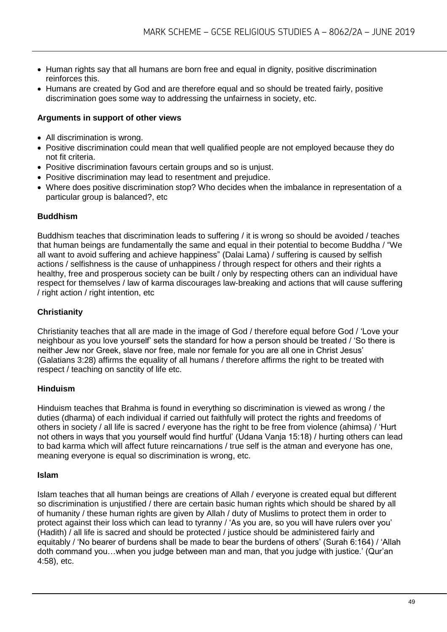- Human rights say that all humans are born free and equal in dignity, positive discrimination reinforces this.
- Humans are created by God and are therefore equal and so should be treated fairly, positive discrimination goes some way to addressing the unfairness in society, etc.

#### **Arguments in support of other views**

- All discrimination is wrong.
- Positive discrimination could mean that well qualified people are not employed because they do not fit criteria.
- Positive discrimination favours certain groups and so is unjust.
- Positive discrimination may lead to resentment and prejudice.
- Where does positive discrimination stop? Who decides when the imbalance in representation of a particular group is balanced?, etc

#### **Buddhism**

Buddhism teaches that discrimination leads to suffering / it is wrong so should be avoided / teaches that human beings are fundamentally the same and equal in their potential to become Buddha / "We all want to avoid suffering and achieve happiness" (Dalai Lama) / suffering is caused by selfish actions / selfishness is the cause of unhappiness / through respect for others and their rights a healthy, free and prosperous society can be built / only by respecting others can an individual have respect for themselves / law of karma discourages law-breaking and actions that will cause suffering / right action / right intention, etc

#### **Christianity**

Christianity teaches that all are made in the image of God / therefore equal before God / 'Love your neighbour as you love yourself' sets the standard for how a person should be treated / 'So there is neither Jew nor Greek, slave nor free, male nor female for you are all one in Christ Jesus' (Galatians 3:28) affirms the equality of all humans / therefore affirms the right to be treated with respect / teaching on sanctity of life etc.

#### **Hinduism**

Hinduism teaches that Brahma is found in everything so discrimination is viewed as wrong / the duties (dharma) of each individual if carried out faithfully will protect the rights and freedoms of others in society / all life is sacred / everyone has the right to be free from violence (ahimsa) / 'Hurt not others in ways that you yourself would find hurtful' (Udana Vanja 15:18) / hurting others can lead to bad karma which will affect future reincarnations / true self is the atman and everyone has one, meaning everyone is equal so discrimination is wrong, etc.

#### **Islam**

Islam teaches that all human beings are creations of Allah / everyone is created equal but different so discrimination is unjustified / there are certain basic human rights which should be shared by all of humanity / these human rights are given by Allah / duty of Muslims to protect them in order to protect against their loss which can lead to tyranny / 'As you are, so you will have rulers over you' (Hadith) / all life is sacred and should be protected / justice should be administered fairly and equitably / 'No bearer of burdens shall be made to bear the burdens of others' (Surah 6:164) / 'Allah doth command you…when you judge between man and man, that you judge with justice.' (Qur'an 4:58), etc.